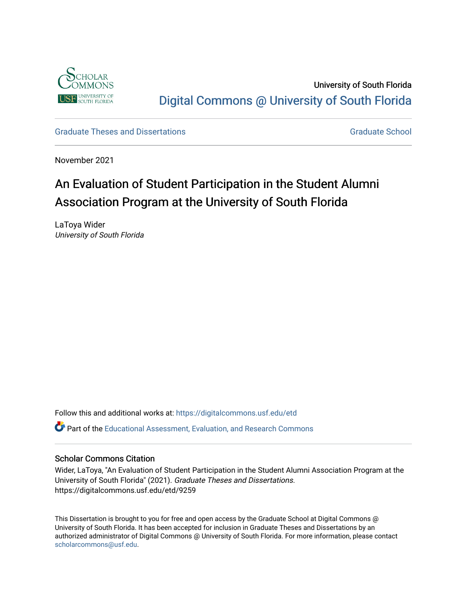

University of South Florida [Digital Commons @ University of South Florida](https://digitalcommons.usf.edu/) 

[Graduate Theses and Dissertations](https://digitalcommons.usf.edu/etd) [Graduate School](https://digitalcommons.usf.edu/grad) Craduate School Craduate School

November 2021

# An Evaluation of Student Participation in the Student Alumni Association Program at the University of South Florida

LaToya Wider University of South Florida

Follow this and additional works at: [https://digitalcommons.usf.edu/etd](https://digitalcommons.usf.edu/etd?utm_source=digitalcommons.usf.edu%2Fetd%2F9259&utm_medium=PDF&utm_campaign=PDFCoverPages) 

Part of the [Educational Assessment, Evaluation, and Research Commons](http://network.bepress.com/hgg/discipline/796?utm_source=digitalcommons.usf.edu%2Fetd%2F9259&utm_medium=PDF&utm_campaign=PDFCoverPages)

# Scholar Commons Citation

Wider, LaToya, "An Evaluation of Student Participation in the Student Alumni Association Program at the University of South Florida" (2021). Graduate Theses and Dissertations. https://digitalcommons.usf.edu/etd/9259

This Dissertation is brought to you for free and open access by the Graduate School at Digital Commons @ University of South Florida. It has been accepted for inclusion in Graduate Theses and Dissertations by an authorized administrator of Digital Commons @ University of South Florida. For more information, please contact [scholarcommons@usf.edu.](mailto:scholarcommons@usf.edu)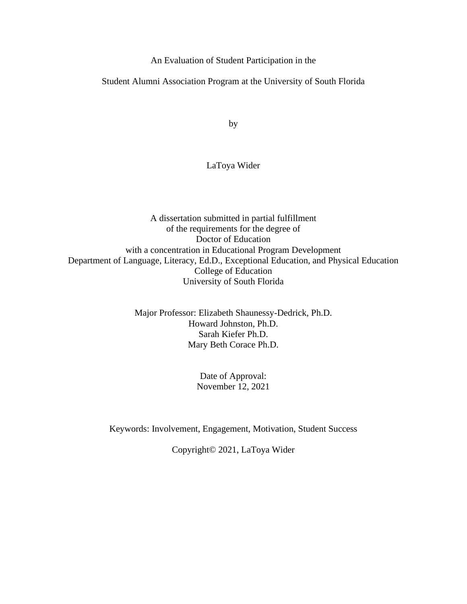An Evaluation of Student Participation in the

Student Alumni Association Program at the University of South Florida

by

# LaToya Wider

A dissertation submitted in partial fulfillment of the requirements for the degree of Doctor of Education with a concentration in Educational Program Development Department of Language, Literacy, Ed.D., Exceptional Education, and Physical Education College of Education University of South Florida

> Major Professor: Elizabeth Shaunessy-Dedrick, Ph.D. Howard Johnston, Ph.D. Sarah Kiefer Ph.D. Mary Beth Corace Ph.D.

> > Date of Approval: November 12, 2021

Keywords: Involvement, Engagement, Motivation, Student Success

Copyright© 2021, LaToya Wider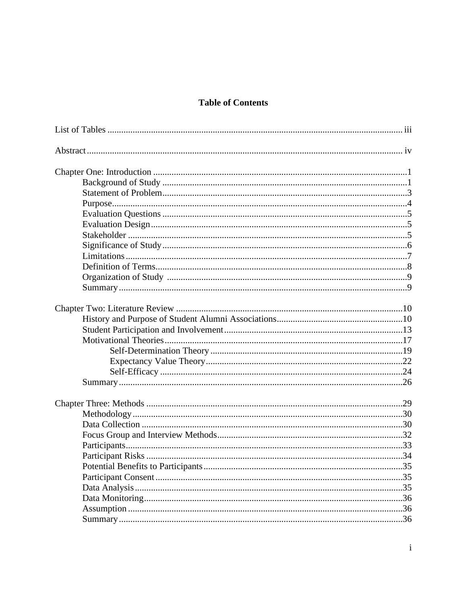# **Table of Contents**

| Potential Benefits to Participants | . 35 |
|------------------------------------|------|
|                                    |      |
|                                    |      |
|                                    |      |
|                                    |      |
|                                    |      |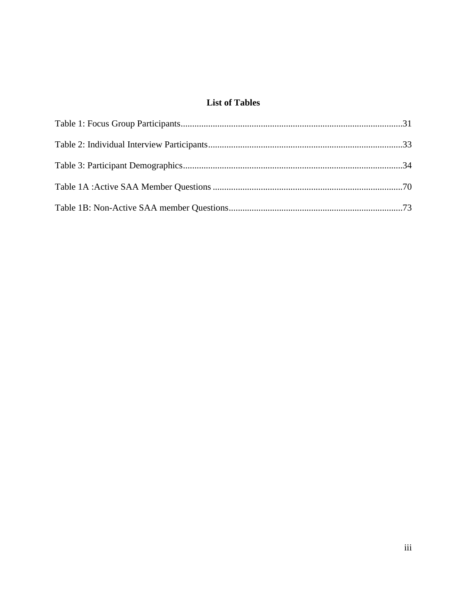# **List of Tables**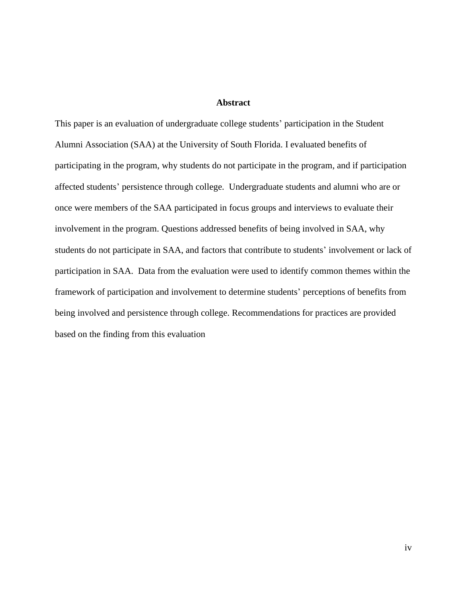## **Abstract**

This paper is an evaluation of undergraduate college students' participation in the Student Alumni Association (SAA) at the University of South Florida. I evaluated benefits of participating in the program, why students do not participate in the program, and if participation affected students' persistence through college. Undergraduate students and alumni who are or once were members of the SAA participated in focus groups and interviews to evaluate their involvement in the program. Questions addressed benefits of being involved in SAA, why students do not participate in SAA, and factors that contribute to students' involvement or lack of participation in SAA. Data from the evaluation were used to identify common themes within the framework of participation and involvement to determine students' perceptions of benefits from being involved and persistence through college. Recommendations for practices are provided based on the finding from this evaluation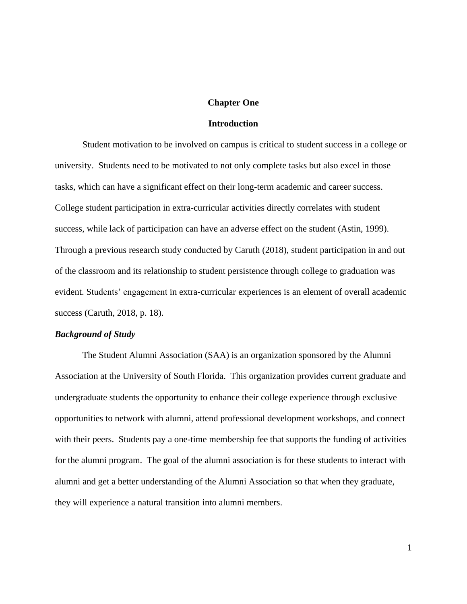#### **Chapter One**

# **Introduction**

Student motivation to be involved on campus is critical to student success in a college or university. Students need to be motivated to not only complete tasks but also excel in those tasks, which can have a significant effect on their long-term academic and career success. College student participation in extra-curricular activities directly correlates with student success, while lack of participation can have an adverse effect on the student (Astin, 1999). Through a previous research study conducted by Caruth (2018), student participation in and out of the classroom and its relationship to student persistence through college to graduation was evident. Students' engagement in extra-curricular experiences is an element of overall academic success (Caruth, 2018, p. 18).

#### *Background of Study*

The Student Alumni Association (SAA) is an organization sponsored by the Alumni Association at the University of South Florida. This organization provides current graduate and undergraduate students the opportunity to enhance their college experience through exclusive opportunities to network with alumni, attend professional development workshops, and connect with their peers. Students pay a one-time membership fee that supports the funding of activities for the alumni program. The goal of the alumni association is for these students to interact with alumni and get a better understanding of the Alumni Association so that when they graduate, they will experience a natural transition into alumni members.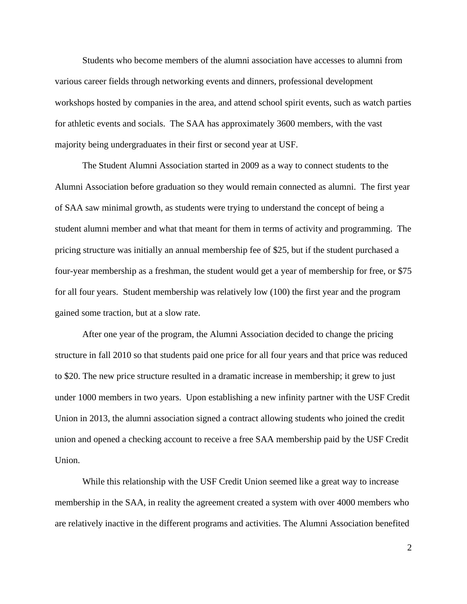Students who become members of the alumni association have accesses to alumni from various career fields through networking events and dinners, professional development workshops hosted by companies in the area, and attend school spirit events, such as watch parties for athletic events and socials. The SAA has approximately 3600 members, with the vast majority being undergraduates in their first or second year at USF.

The Student Alumni Association started in 2009 as a way to connect students to the Alumni Association before graduation so they would remain connected as alumni. The first year of SAA saw minimal growth, as students were trying to understand the concept of being a student alumni member and what that meant for them in terms of activity and programming. The pricing structure was initially an annual membership fee of \$25, but if the student purchased a four-year membership as a freshman, the student would get a year of membership for free, or \$75 for all four years. Student membership was relatively low (100) the first year and the program gained some traction, but at a slow rate.

After one year of the program, the Alumni Association decided to change the pricing structure in fall 2010 so that students paid one price for all four years and that price was reduced to \$20. The new price structure resulted in a dramatic increase in membership; it grew to just under 1000 members in two years. Upon establishing a new infinity partner with the USF Credit Union in 2013, the alumni association signed a contract allowing students who joined the credit union and opened a checking account to receive a free SAA membership paid by the USF Credit Union.

While this relationship with the USF Credit Union seemed like a great way to increase membership in the SAA, in reality the agreement created a system with over 4000 members who are relatively inactive in the different programs and activities. The Alumni Association benefited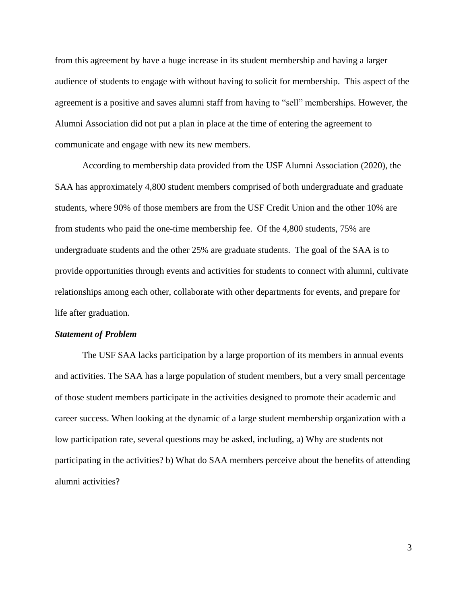from this agreement by have a huge increase in its student membership and having a larger audience of students to engage with without having to solicit for membership. This aspect of the agreement is a positive and saves alumni staff from having to "sell" memberships. However, the Alumni Association did not put a plan in place at the time of entering the agreement to communicate and engage with new its new members.

According to membership data provided from the USF Alumni Association (2020), the SAA has approximately 4,800 student members comprised of both undergraduate and graduate students, where 90% of those members are from the USF Credit Union and the other 10% are from students who paid the one-time membership fee. Of the 4,800 students, 75% are undergraduate students and the other 25% are graduate students. The goal of the SAA is to provide opportunities through events and activities for students to connect with alumni, cultivate relationships among each other, collaborate with other departments for events, and prepare for life after graduation.

#### *Statement of Problem*

The USF SAA lacks participation by a large proportion of its members in annual events and activities. The SAA has a large population of student members, but a very small percentage of those student members participate in the activities designed to promote their academic and career success. When looking at the dynamic of a large student membership organization with a low participation rate, several questions may be asked, including, a) Why are students not participating in the activities? b) What do SAA members perceive about the benefits of attending alumni activities?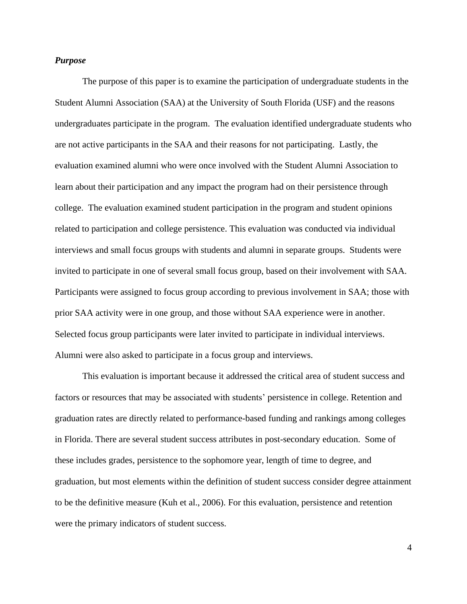# *Purpose*

The purpose of this paper is to examine the participation of undergraduate students in the Student Alumni Association (SAA) at the University of South Florida (USF) and the reasons undergraduates participate in the program. The evaluation identified undergraduate students who are not active participants in the SAA and their reasons for not participating. Lastly, the evaluation examined alumni who were once involved with the Student Alumni Association to learn about their participation and any impact the program had on their persistence through college. The evaluation examined student participation in the program and student opinions related to participation and college persistence. This evaluation was conducted via individual interviews and small focus groups with students and alumni in separate groups. Students were invited to participate in one of several small focus group, based on their involvement with SAA. Participants were assigned to focus group according to previous involvement in SAA; those with prior SAA activity were in one group, and those without SAA experience were in another. Selected focus group participants were later invited to participate in individual interviews. Alumni were also asked to participate in a focus group and interviews.

This evaluation is important because it addressed the critical area of student success and factors or resources that may be associated with students' persistence in college. Retention and graduation rates are directly related to performance-based funding and rankings among colleges in Florida. There are several student success attributes in post-secondary education. Some of these includes grades, persistence to the sophomore year, length of time to degree, and graduation, but most elements within the definition of student success consider degree attainment to be the definitive measure (Kuh et al., 2006). For this evaluation, persistence and retention were the primary indicators of student success.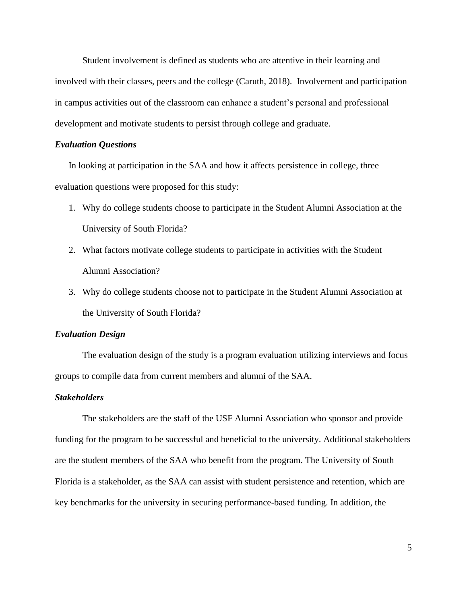Student involvement is defined as students who are attentive in their learning and involved with their classes, peers and the college (Caruth, 2018). Involvement and participation in campus activities out of the classroom can enhance a student's personal and professional development and motivate students to persist through college and graduate.

#### *Evaluation Questions*

In looking at participation in the SAA and how it affects persistence in college, three evaluation questions were proposed for this study:

- 1. Why do college students choose to participate in the Student Alumni Association at the University of South Florida?
- 2. What factors motivate college students to participate in activities with the Student Alumni Association?
- 3. Why do college students choose not to participate in the Student Alumni Association at the University of South Florida?

#### *Evaluation Design*

The evaluation design of the study is a program evaluation utilizing interviews and focus groups to compile data from current members and alumni of the SAA.

## *Stakeholders*

The stakeholders are the staff of the USF Alumni Association who sponsor and provide funding for the program to be successful and beneficial to the university. Additional stakeholders are the student members of the SAA who benefit from the program. The University of South Florida is a stakeholder, as the SAA can assist with student persistence and retention, which are key benchmarks for the university in securing performance-based funding. In addition, the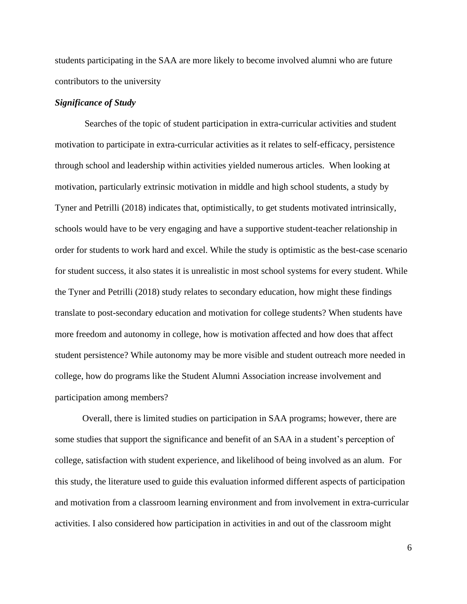students participating in the SAA are more likely to become involved alumni who are future contributors to the university

# *Significance of Study*

 Searches of the topic of student participation in extra-curricular activities and student motivation to participate in extra-curricular activities as it relates to self-efficacy, persistence through school and leadership within activities yielded numerous articles. When looking at motivation, particularly extrinsic motivation in middle and high school students, a study by Tyner and Petrilli (2018) indicates that, optimistically, to get students motivated intrinsically, schools would have to be very engaging and have a supportive student-teacher relationship in order for students to work hard and excel. While the study is optimistic as the best-case scenario for student success, it also states it is unrealistic in most school systems for every student. While the Tyner and Petrilli (2018) study relates to secondary education, how might these findings translate to post-secondary education and motivation for college students? When students have more freedom and autonomy in college, how is motivation affected and how does that affect student persistence? While autonomy may be more visible and student outreach more needed in college, how do programs like the Student Alumni Association increase involvement and participation among members?

Overall, there is limited studies on participation in SAA programs; however, there are some studies that support the significance and benefit of an SAA in a student's perception of college, satisfaction with student experience, and likelihood of being involved as an alum. For this study, the literature used to guide this evaluation informed different aspects of participation and motivation from a classroom learning environment and from involvement in extra-curricular activities. I also considered how participation in activities in and out of the classroom might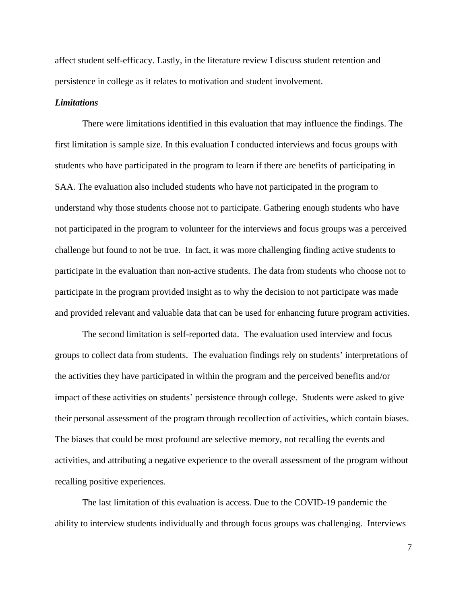affect student self-efficacy. Lastly, in the literature review I discuss student retention and persistence in college as it relates to motivation and student involvement.

## *Limitations*

There were limitations identified in this evaluation that may influence the findings. The first limitation is sample size. In this evaluation I conducted interviews and focus groups with students who have participated in the program to learn if there are benefits of participating in SAA. The evaluation also included students who have not participated in the program to understand why those students choose not to participate. Gathering enough students who have not participated in the program to volunteer for the interviews and focus groups was a perceived challenge but found to not be true. In fact, it was more challenging finding active students to participate in the evaluation than non-active students. The data from students who choose not to participate in the program provided insight as to why the decision to not participate was made and provided relevant and valuable data that can be used for enhancing future program activities.

The second limitation is self-reported data. The evaluation used interview and focus groups to collect data from students. The evaluation findings rely on students' interpretations of the activities they have participated in within the program and the perceived benefits and/or impact of these activities on students' persistence through college. Students were asked to give their personal assessment of the program through recollection of activities, which contain biases. The biases that could be most profound are selective memory, not recalling the events and activities, and attributing a negative experience to the overall assessment of the program without recalling positive experiences.

The last limitation of this evaluation is access. Due to the COVID-19 pandemic the ability to interview students individually and through focus groups was challenging. Interviews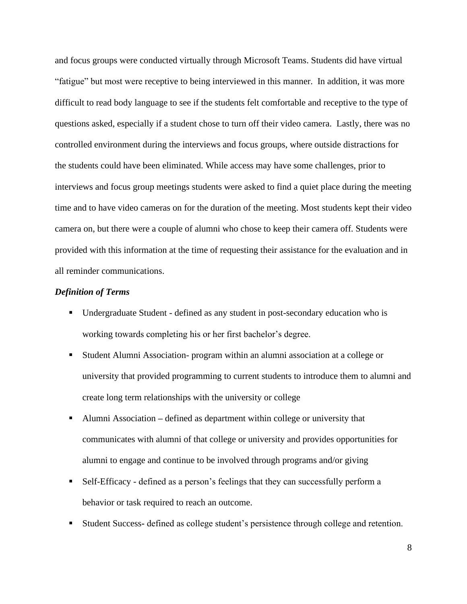and focus groups were conducted virtually through Microsoft Teams. Students did have virtual "fatigue" but most were receptive to being interviewed in this manner. In addition, it was more difficult to read body language to see if the students felt comfortable and receptive to the type of questions asked, especially if a student chose to turn off their video camera. Lastly, there was no controlled environment during the interviews and focus groups, where outside distractions for the students could have been eliminated. While access may have some challenges, prior to interviews and focus group meetings students were asked to find a quiet place during the meeting time and to have video cameras on for the duration of the meeting. Most students kept their video camera on, but there were a couple of alumni who chose to keep their camera off. Students were provided with this information at the time of requesting their assistance for the evaluation and in all reminder communications.

# *Definition of Terms*

- Undergraduate Student defined as any student in post-secondary education who is working towards completing his or her first bachelor's degree.
- Student Alumni Association- program within an alumni association at a college or university that provided programming to current students to introduce them to alumni and create long term relationships with the university or college
- Alumni Association defined as department within college or university that communicates with alumni of that college or university and provides opportunities for alumni to engage and continue to be involved through programs and/or giving
- Self-Efficacy defined as a person's feelings that they can successfully perform a behavior or task required to reach an outcome.
- Student Success**-** defined as college student's persistence through college and retention.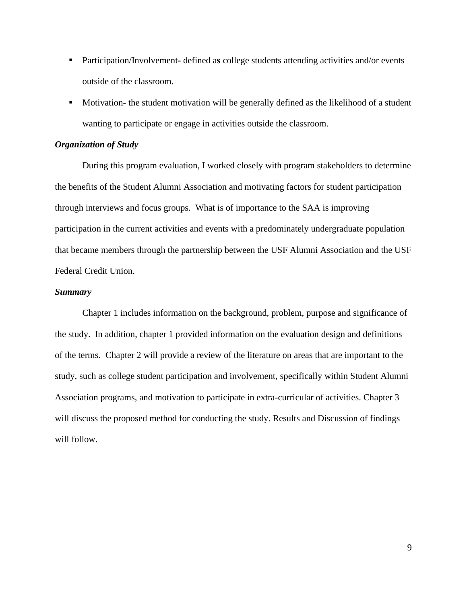- Participation/Involvement- defined as college students attending activities and/or events outside of the classroom.
- **•** Motivation- the student motivation will be generally defined as the likelihood of a student wanting to participate or engage in activities outside the classroom.

# *Organization of Study*

During this program evaluation, I worked closely with program stakeholders to determine the benefits of the Student Alumni Association and motivating factors for student participation through interviews and focus groups. What is of importance to the SAA is improving participation in the current activities and events with a predominately undergraduate population that became members through the partnership between the USF Alumni Association and the USF Federal Credit Union.

## *Summary*

Chapter 1 includes information on the background, problem, purpose and significance of the study. In addition, chapter 1 provided information on the evaluation design and definitions of the terms. Chapter 2 will provide a review of the literature on areas that are important to the study, such as college student participation and involvement, specifically within Student Alumni Association programs, and motivation to participate in extra-curricular of activities. Chapter 3 will discuss the proposed method for conducting the study. Results and Discussion of findings will follow.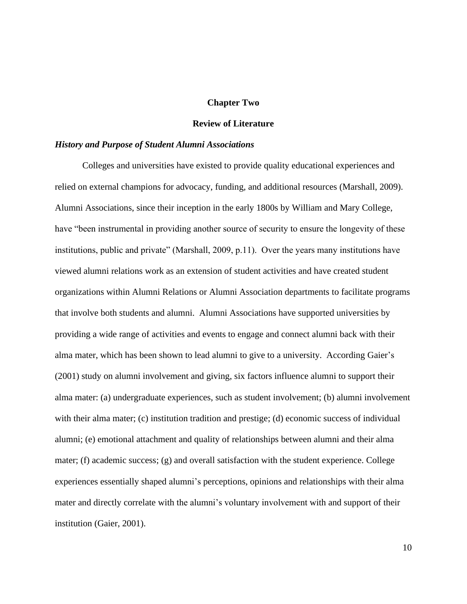#### **Chapter Two**

# **Review of Literature**

#### *History and Purpose of Student Alumni Associations*

Colleges and universities have existed to provide quality educational experiences and relied on external champions for advocacy, funding, and additional resources (Marshall, 2009). Alumni Associations, since their inception in the early 1800s by William and Mary College, have "been instrumental in providing another source of security to ensure the longevity of these institutions, public and private" (Marshall, 2009, p.11). Over the years many institutions have viewed alumni relations work as an extension of student activities and have created student organizations within Alumni Relations or Alumni Association departments to facilitate programs that involve both students and alumni. Alumni Associations have supported universities by providing a wide range of activities and events to engage and connect alumni back with their alma mater, which has been shown to lead alumni to give to a university. According Gaier's (2001) study on alumni involvement and giving, six factors influence alumni to support their alma mater: (a) undergraduate experiences, such as student involvement; (b) alumni involvement with their alma mater; (c) institution tradition and prestige; (d) economic success of individual alumni; (e) emotional attachment and quality of relationships between alumni and their alma mater; (f) academic success; (g) and overall satisfaction with the student experience. College experiences essentially shaped alumni's perceptions, opinions and relationships with their alma mater and directly correlate with the alumni's voluntary involvement with and support of their institution (Gaier, 2001).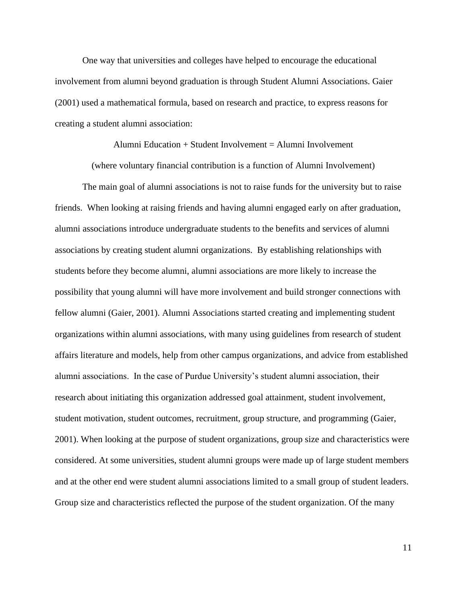One way that universities and colleges have helped to encourage the educational involvement from alumni beyond graduation is through Student Alumni Associations. Gaier (2001) used a mathematical formula, based on research and practice, to express reasons for creating a student alumni association:

Alumni Education + Student Involvement = Alumni Involvement

(where voluntary financial contribution is a function of Alumni Involvement)

The main goal of alumni associations is not to raise funds for the university but to raise friends. When looking at raising friends and having alumni engaged early on after graduation, alumni associations introduce undergraduate students to the benefits and services of alumni associations by creating student alumni organizations. By establishing relationships with students before they become alumni, alumni associations are more likely to increase the possibility that young alumni will have more involvement and build stronger connections with fellow alumni (Gaier, 2001). Alumni Associations started creating and implementing student organizations within alumni associations, with many using guidelines from research of student affairs literature and models, help from other campus organizations, and advice from established alumni associations. In the case of Purdue University's student alumni association, their research about initiating this organization addressed goal attainment, student involvement, student motivation, student outcomes, recruitment, group structure, and programming (Gaier, 2001). When looking at the purpose of student organizations, group size and characteristics were considered. At some universities, student alumni groups were made up of large student members and at the other end were student alumni associations limited to a small group of student leaders. Group size and characteristics reflected the purpose of the student organization. Of the many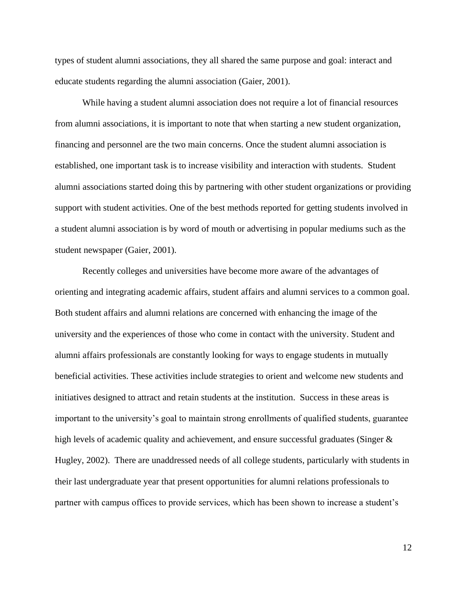types of student alumni associations, they all shared the same purpose and goal: interact and educate students regarding the alumni association (Gaier, 2001).

While having a student alumni association does not require a lot of financial resources from alumni associations, it is important to note that when starting a new student organization, financing and personnel are the two main concerns. Once the student alumni association is established, one important task is to increase visibility and interaction with students. Student alumni associations started doing this by partnering with other student organizations or providing support with student activities. One of the best methods reported for getting students involved in a student alumni association is by word of mouth or advertising in popular mediums such as the student newspaper (Gaier, 2001).

Recently colleges and universities have become more aware of the advantages of orienting and integrating academic affairs, student affairs and alumni services to a common goal. Both student affairs and alumni relations are concerned with enhancing the image of the university and the experiences of those who come in contact with the university. Student and alumni affairs professionals are constantly looking for ways to engage students in mutually beneficial activities. These activities include strategies to orient and welcome new students and initiatives designed to attract and retain students at the institution. Success in these areas is important to the university's goal to maintain strong enrollments of qualified students, guarantee high levels of academic quality and achievement, and ensure successful graduates (Singer & Hugley, 2002). There are unaddressed needs of all college students, particularly with students in their last undergraduate year that present opportunities for alumni relations professionals to partner with campus offices to provide services, which has been shown to increase a student's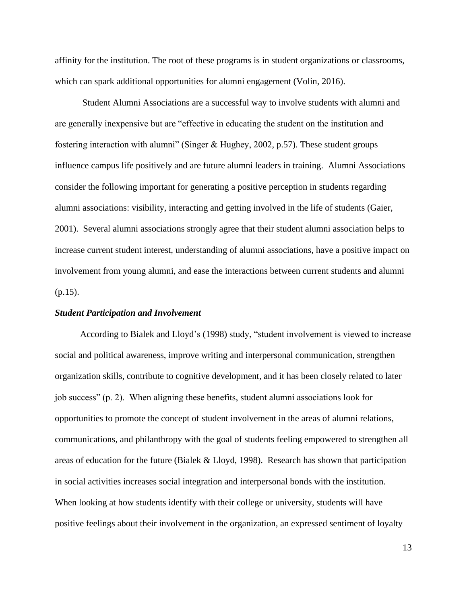affinity for the institution. The root of these programs is in student organizations or classrooms, which can spark additional opportunities for alumni engagement (Volin, 2016).

Student Alumni Associations are a successful way to involve students with alumni and are generally inexpensive but are "effective in educating the student on the institution and fostering interaction with alumni" (Singer & Hughey, 2002, p.57). These student groups influence campus life positively and are future alumni leaders in training. Alumni Associations consider the following important for generating a positive perception in students regarding alumni associations: visibility, interacting and getting involved in the life of students (Gaier, 2001). Several alumni associations strongly agree that their student alumni association helps to increase current student interest, understanding of alumni associations, have a positive impact on involvement from young alumni, and ease the interactions between current students and alumni  $(p.15)$ .

#### *Student Participation and Involvement*

 According to Bialek and Lloyd's (1998) study, "student involvement is viewed to increase social and political awareness, improve writing and interpersonal communication, strengthen organization skills, contribute to cognitive development, and it has been closely related to later job success" (p. 2). When aligning these benefits, student alumni associations look for opportunities to promote the concept of student involvement in the areas of alumni relations, communications, and philanthropy with the goal of students feeling empowered to strengthen all areas of education for the future (Bialek & Lloyd, 1998). Research has shown that participation in social activities increases social integration and interpersonal bonds with the institution. When looking at how students identify with their college or university, students will have positive feelings about their involvement in the organization, an expressed sentiment of loyalty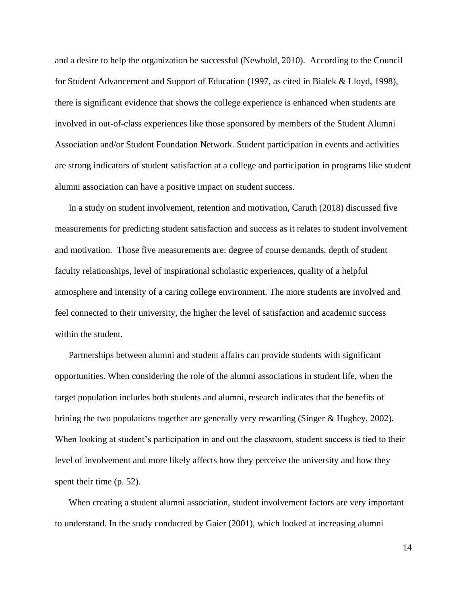and a desire to help the organization be successful (Newbold, 2010). According to the Council for Student Advancement and Support of Education (1997, as cited in Bialek & Lloyd, 1998), there is significant evidence that shows the college experience is enhanced when students are involved in out-of-class experiences like those sponsored by members of the Student Alumni Association and/or Student Foundation Network. Student participation in events and activities are strong indicators of student satisfaction at a college and participation in programs like student alumni association can have a positive impact on student success.

In a study on student involvement, retention and motivation, Caruth (2018) discussed five measurements for predicting student satisfaction and success as it relates to student involvement and motivation. Those five measurements are: degree of course demands, depth of student faculty relationships, level of inspirational scholastic experiences, quality of a helpful atmosphere and intensity of a caring college environment. The more students are involved and feel connected to their university, the higher the level of satisfaction and academic success within the student.

Partnerships between alumni and student affairs can provide students with significant opportunities. When considering the role of the alumni associations in student life, when the target population includes both students and alumni, research indicates that the benefits of brining the two populations together are generally very rewarding (Singer & Hughey, 2002). When looking at student's participation in and out the classroom, student success is tied to their level of involvement and more likely affects how they perceive the university and how they spent their time (p. 52).

When creating a student alumni association, student involvement factors are very important to understand. In the study conducted by Gaier (2001), which looked at increasing alumni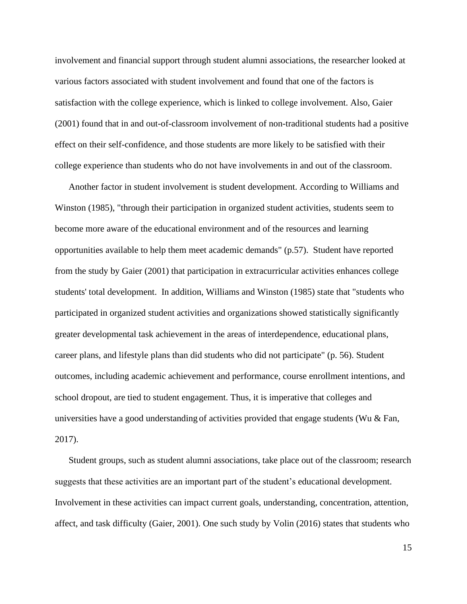involvement and financial support through student alumni associations, the researcher looked at various factors associated with student involvement and found that one of the factors is satisfaction with the college experience, which is linked to college involvement. Also, Gaier (2001) found that in and out-of-classroom involvement of non-traditional students had a positive effect on their self-confidence, and those students are more likely to be satisfied with their college experience than students who do not have involvements in and out of the classroom.

Another factor in student involvement is student development. According to Williams and Winston (1985), "through their participation in organized student activities, students seem to become more aware of the educational environment and of the resources and learning opportunities available to help them meet academic demands" (p.57). Student have reported from the study by Gaier (2001) that participation in extracurricular activities enhances college students' total development. In addition, Williams and Winston (1985) state that "students who participated in organized student activities and organizations showed statistically significantly greater developmental task achievement in the areas of interdependence, educational plans, career plans, and lifestyle plans than did students who did not participate" (p. 56). Student outcomes, including academic achievement and performance, course enrollment intentions, and school dropout, are tied to student engagement. Thus, it is imperative that colleges and universities have a good understanding of activities provided that engage students (Wu  $\&$  Fan, 2017).

Student groups, such as student alumni associations, take place out of the classroom; research suggests that these activities are an important part of the student's educational development. Involvement in these activities can impact current goals, understanding, concentration, attention, affect, and task difficulty (Gaier, 2001). One such study by Volin (2016) states that students who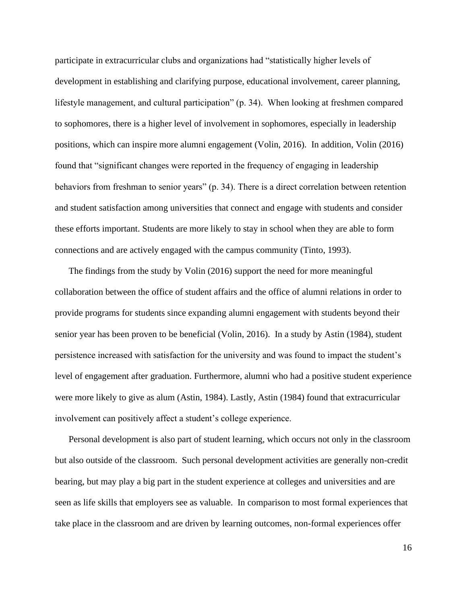participate in extracurricular clubs and organizations had "statistically higher levels of development in establishing and clarifying purpose, educational involvement, career planning, lifestyle management, and cultural participation" (p. 34). When looking at freshmen compared to sophomores, there is a higher level of involvement in sophomores, especially in leadership positions, which can inspire more alumni engagement (Volin, 2016). In addition, Volin (2016) found that "significant changes were reported in the frequency of engaging in leadership behaviors from freshman to senior years" (p. 34). There is a direct correlation between retention and student satisfaction among universities that connect and engage with students and consider these efforts important. Students are more likely to stay in school when they are able to form connections and are actively engaged with the campus community (Tinto, 1993).

The findings from the study by Volin (2016) support the need for more meaningful collaboration between the office of student affairs and the office of alumni relations in order to provide programs for students since expanding alumni engagement with students beyond their senior year has been proven to be beneficial (Volin, 2016). In a study by Astin (1984), student persistence increased with satisfaction for the university and was found to impact the student's level of engagement after graduation. Furthermore, alumni who had a positive student experience were more likely to give as alum (Astin, 1984). Lastly, Astin (1984) found that extracurricular involvement can positively affect a student's college experience.

Personal development is also part of student learning, which occurs not only in the classroom but also outside of the classroom. Such personal development activities are generally non-credit bearing, but may play a big part in the student experience at colleges and universities and are seen as life skills that employers see as valuable. In comparison to most formal experiences that take place in the classroom and are driven by learning outcomes, non-formal experiences offer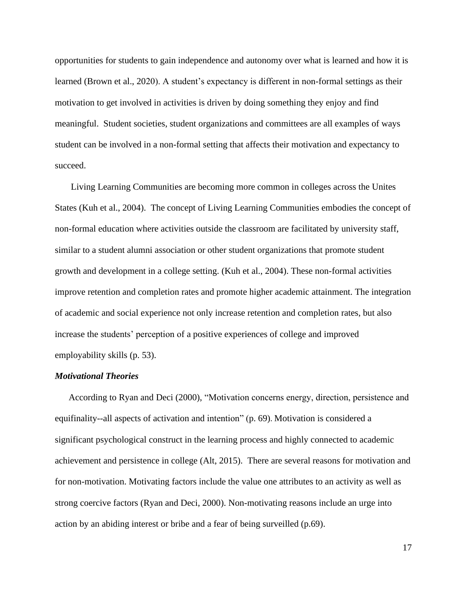opportunities for students to gain independence and autonomy over what is learned and how it is learned (Brown et al., 2020). A student's expectancy is different in non-formal settings as their motivation to get involved in activities is driven by doing something they enjoy and find meaningful. Student societies, student organizations and committees are all examples of ways student can be involved in a non-formal setting that affects their motivation and expectancy to succeed.

Living Learning Communities are becoming more common in colleges across the Unites States (Kuh et al., 2004). The concept of Living Learning Communities embodies the concept of non-formal education where activities outside the classroom are facilitated by university staff, similar to a student alumni association or other student organizations that promote student growth and development in a college setting. (Kuh et al., 2004). These non-formal activities improve retention and completion rates and promote higher academic attainment. The integration of academic and social experience not only increase retention and completion rates, but also increase the students' perception of a positive experiences of college and improved employability skills (p. 53).

# *Motivational Theories*

According to Ryan and Deci (2000), "Motivation concerns energy, direction, persistence and equifinality--all aspects of activation and intention" (p. 69). Motivation is considered a significant psychological construct in the learning process and highly connected to academic achievement and persistence in college (Alt, 2015). There are several reasons for motivation and for non-motivation. Motivating factors include the value one attributes to an activity as well as strong coercive factors (Ryan and Deci, 2000). Non-motivating reasons include an urge into action by an abiding interest or bribe and a fear of being surveilled (p.69).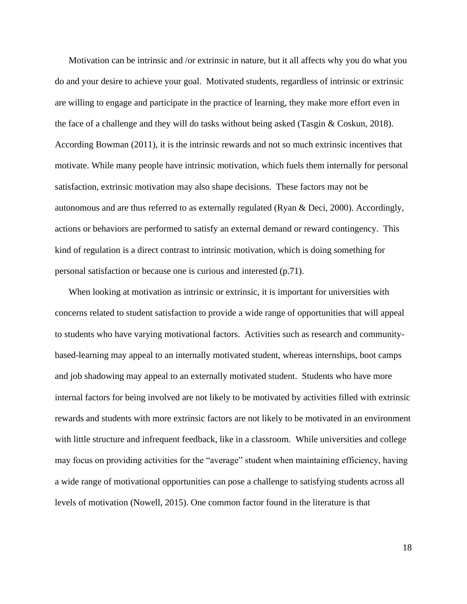Motivation can be intrinsic and /or extrinsic in nature, but it all affects why you do what you do and your desire to achieve your goal. Motivated students, regardless of intrinsic or extrinsic are willing to engage and participate in the practice of learning, they make more effort even in the face of a challenge and they will do tasks without being asked (Tasgin & Coskun, 2018). According Bowman (2011), it is the intrinsic rewards and not so much extrinsic incentives that motivate. While many people have intrinsic motivation, which fuels them internally for personal satisfaction, extrinsic motivation may also shape decisions. These factors may not be autonomous and are thus referred to as externally regulated (Ryan & Deci, 2000). Accordingly, actions or behaviors are performed to satisfy an external demand or reward contingency. This kind of regulation is a direct contrast to intrinsic motivation, which is doing something for personal satisfaction or because one is curious and interested (p.71).

When looking at motivation as intrinsic or extrinsic, it is important for universities with concerns related to student satisfaction to provide a wide range of opportunities that will appeal to students who have varying motivational factors. Activities such as research and communitybased-learning may appeal to an internally motivated student, whereas internships, boot camps and job shadowing may appeal to an externally motivated student. Students who have more internal factors for being involved are not likely to be motivated by activities filled with extrinsic rewards and students with more extrinsic factors are not likely to be motivated in an environment with little structure and infrequent feedback, like in a classroom. While universities and college may focus on providing activities for the "average" student when maintaining efficiency, having a wide range of motivational opportunities can pose a challenge to satisfying students across all levels of motivation (Nowell, 2015). One common factor found in the literature is that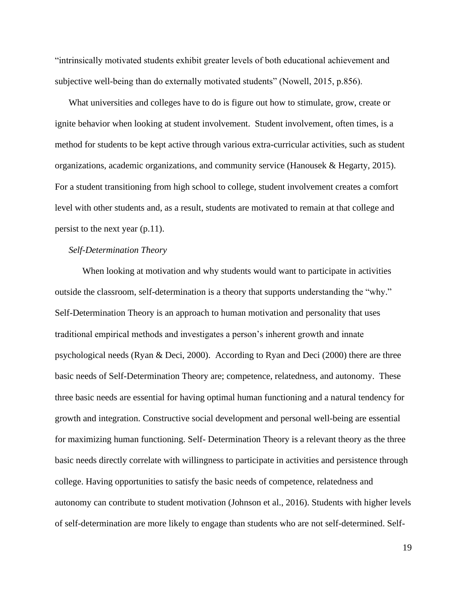"intrinsically motivated students exhibit greater levels of both educational achievement and subjective well-being than do externally motivated students" (Nowell, 2015, p.856).

What universities and colleges have to do is figure out how to stimulate, grow, create or ignite behavior when looking at student involvement. Student involvement, often times, is a method for students to be kept active through various extra-curricular activities, such as student organizations, academic organizations, and community service (Hanousek & Hegarty, 2015). For a student transitioning from high school to college, student involvement creates a comfort level with other students and, as a result, students are motivated to remain at that college and persist to the next year (p.11).

## *Self-Determination Theory*

When looking at motivation and why students would want to participate in activities outside the classroom, self-determination is a theory that supports understanding the "why." Self-Determination Theory is an approach to human motivation and personality that uses traditional empirical methods and investigates a person's inherent growth and innate psychological needs (Ryan & Deci, 2000). According to Ryan and Deci (2000) there are three basic needs of Self-Determination Theory are; competence, relatedness, and autonomy. These three basic needs are essential for having optimal human functioning and a natural tendency for growth and integration. Constructive social development and personal well-being are essential for maximizing human functioning. Self- Determination Theory is a relevant theory as the three basic needs directly correlate with willingness to participate in activities and persistence through college. Having opportunities to satisfy the basic needs of competence, relatedness and autonomy can contribute to student motivation (Johnson et al., 2016). Students with higher levels of self-determination are more likely to engage than students who are not self-determined. Self-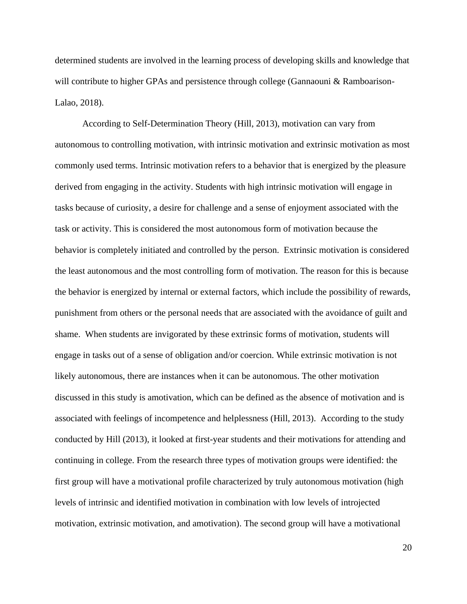determined students are involved in the learning process of developing skills and knowledge that will contribute to higher GPAs and persistence through college (Gannaouni & Ramboarison-Lalao, 2018).

According to Self-Determination Theory (Hill, 2013), motivation can vary from autonomous to controlling motivation, with intrinsic motivation and extrinsic motivation as most commonly used terms. Intrinsic motivation refers to a behavior that is energized by the pleasure derived from engaging in the activity. Students with high intrinsic motivation will engage in tasks because of curiosity, a desire for challenge and a sense of enjoyment associated with the task or activity. This is considered the most autonomous form of motivation because the behavior is completely initiated and controlled by the person. Extrinsic motivation is considered the least autonomous and the most controlling form of motivation. The reason for this is because the behavior is energized by internal or external factors, which include the possibility of rewards, punishment from others or the personal needs that are associated with the avoidance of guilt and shame. When students are invigorated by these extrinsic forms of motivation, students will engage in tasks out of a sense of obligation and/or coercion. While extrinsic motivation is not likely autonomous, there are instances when it can be autonomous. The other motivation discussed in this study is amotivation, which can be defined as the absence of motivation and is associated with feelings of incompetence and helplessness (Hill, 2013). According to the study conducted by Hill (2013), it looked at first-year students and their motivations for attending and continuing in college. From the research three types of motivation groups were identified: the first group will have a motivational profile characterized by truly autonomous motivation (high levels of intrinsic and identified motivation in combination with low levels of introjected motivation, extrinsic motivation, and amotivation). The second group will have a motivational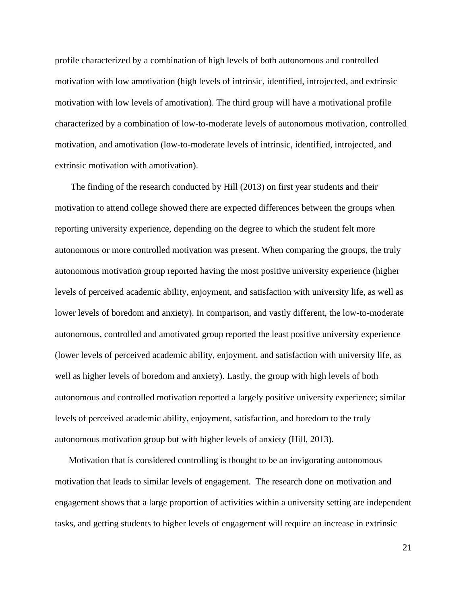profile characterized by a combination of high levels of both autonomous and controlled motivation with low amotivation (high levels of intrinsic, identified, introjected, and extrinsic motivation with low levels of amotivation). The third group will have a motivational profile characterized by a combination of low-to-moderate levels of autonomous motivation, controlled motivation, and amotivation (low-to-moderate levels of intrinsic, identified, introjected, and extrinsic motivation with amotivation).

The finding of the research conducted by Hill (2013) on first year students and their motivation to attend college showed there are expected differences between the groups when reporting university experience, depending on the degree to which the student felt more autonomous or more controlled motivation was present. When comparing the groups, the truly autonomous motivation group reported having the most positive university experience (higher levels of perceived academic ability, enjoyment, and satisfaction with university life, as well as lower levels of boredom and anxiety). In comparison, and vastly different, the low-to-moderate autonomous, controlled and amotivated group reported the least positive university experience (lower levels of perceived academic ability, enjoyment, and satisfaction with university life, as well as higher levels of boredom and anxiety). Lastly, the group with high levels of both autonomous and controlled motivation reported a largely positive university experience; similar levels of perceived academic ability, enjoyment, satisfaction, and boredom to the truly autonomous motivation group but with higher levels of anxiety (Hill, 2013).

Motivation that is considered controlling is thought to be an invigorating autonomous motivation that leads to similar levels of engagement. The research done on motivation and engagement shows that a large proportion of activities within a university setting are independent tasks, and getting students to higher levels of engagement will require an increase in extrinsic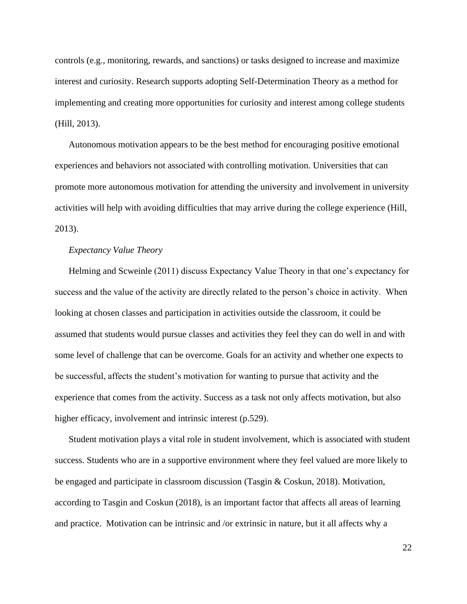controls (e.g., monitoring, rewards, and sanctions) or tasks designed to increase and maximize interest and curiosity. Research supports adopting Self-Determination Theory as a method for implementing and creating more opportunities for curiosity and interest among college students (Hill, 2013).

Autonomous motivation appears to be the best method for encouraging positive emotional experiences and behaviors not associated with controlling motivation. Universities that can promote more autonomous motivation for attending the university and involvement in university activities will help with avoiding difficulties that may arrive during the college experience (Hill, 2013).

## *Expectancy Value Theory*

Helming and Scweinle (2011) discuss Expectancy Value Theory in that one's expectancy for success and the value of the activity are directly related to the person's choice in activity. When looking at chosen classes and participation in activities outside the classroom, it could be assumed that students would pursue classes and activities they feel they can do well in and with some level of challenge that can be overcome. Goals for an activity and whether one expects to be successful, affects the student's motivation for wanting to pursue that activity and the experience that comes from the activity. Success as a task not only affects motivation, but also higher efficacy, involvement and intrinsic interest (p.529).

Student motivation plays a vital role in student involvement, which is associated with student success. Students who are in a supportive environment where they feel valued are more likely to be engaged and participate in classroom discussion (Tasgin & Coskun, 2018). Motivation, according to Tasgin and Coskun (2018), is an important factor that affects all areas of learning and practice. Motivation can be intrinsic and /or extrinsic in nature, but it all affects why a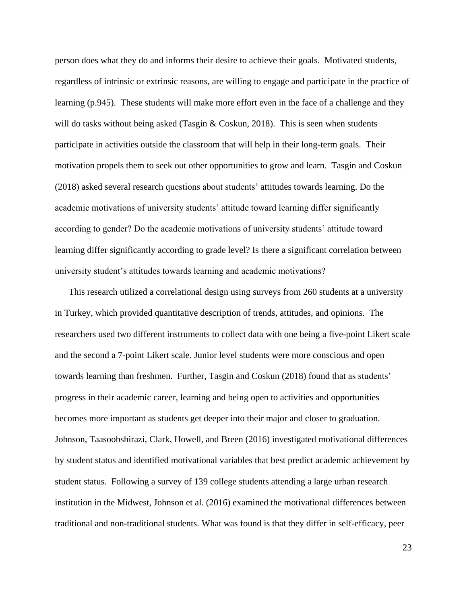person does what they do and informs their desire to achieve their goals. Motivated students, regardless of intrinsic or extrinsic reasons, are willing to engage and participate in the practice of learning (p.945). These students will make more effort even in the face of a challenge and they will do tasks without being asked (Tasgin  $& Costun, 2018$ ). This is seen when students participate in activities outside the classroom that will help in their long-term goals. Their motivation propels them to seek out other opportunities to grow and learn. Tasgin and Coskun (2018) asked several research questions about students' attitudes towards learning. Do the academic motivations of university students' attitude toward learning differ significantly according to gender? Do the academic motivations of university students' attitude toward learning differ significantly according to grade level? Is there a significant correlation between university student's attitudes towards learning and academic motivations?

This research utilized a correlational design using surveys from 260 students at a university in Turkey, which provided quantitative description of trends, attitudes, and opinions. The researchers used two different instruments to collect data with one being a five-point Likert scale and the second a 7-point Likert scale. Junior level students were more conscious and open towards learning than freshmen. Further, Tasgin and Coskun (2018) found that as students' progress in their academic career, learning and being open to activities and opportunities becomes more important as students get deeper into their major and closer to graduation. Johnson, Taasoobshirazi, Clark, Howell, and Breen (2016) investigated motivational differences by student status and identified motivational variables that best predict academic achievement by student status. Following a survey of 139 college students attending a large urban research institution in the Midwest, Johnson et al. (2016) examined the motivational differences between traditional and non-traditional students. What was found is that they differ in self-efficacy, peer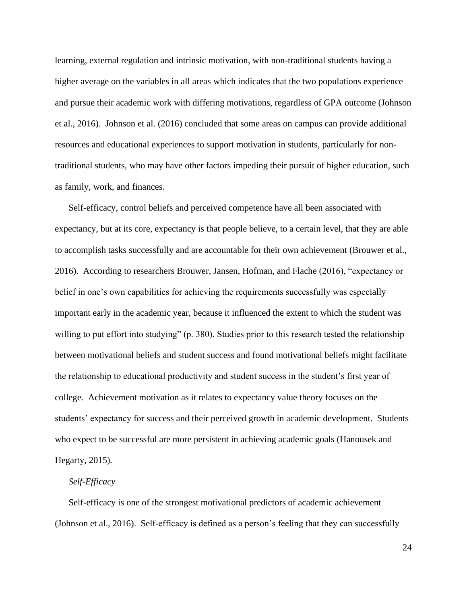learning, external regulation and intrinsic motivation, with non-traditional students having a higher average on the variables in all areas which indicates that the two populations experience and pursue their academic work with differing motivations, regardless of GPA outcome (Johnson et al., 2016). Johnson et al. (2016) concluded that some areas on campus can provide additional resources and educational experiences to support motivation in students, particularly for nontraditional students, who may have other factors impeding their pursuit of higher education, such as family, work, and finances.

Self-efficacy, control beliefs and perceived competence have all been associated with expectancy, but at its core, expectancy is that people believe, to a certain level, that they are able to accomplish tasks successfully and are accountable for their own achievement (Brouwer et al., 2016). According to researchers Brouwer, Jansen, Hofman, and Flache (2016), "expectancy or belief in one's own capabilities for achieving the requirements successfully was especially important early in the academic year, because it influenced the extent to which the student was willing to put effort into studying" (p. 380). Studies prior to this research tested the relationship between motivational beliefs and student success and found motivational beliefs might facilitate the relationship to educational productivity and student success in the student's first year of college. Achievement motivation as it relates to expectancy value theory focuses on the students' expectancy for success and their perceived growth in academic development. Students who expect to be successful are more persistent in achieving academic goals (Hanousek and Hegarty, 2015)*.*

# *Self-Efficacy*

Self-efficacy is one of the strongest motivational predictors of academic achievement (Johnson et al., 2016). Self-efficacy is defined as a person's feeling that they can successfully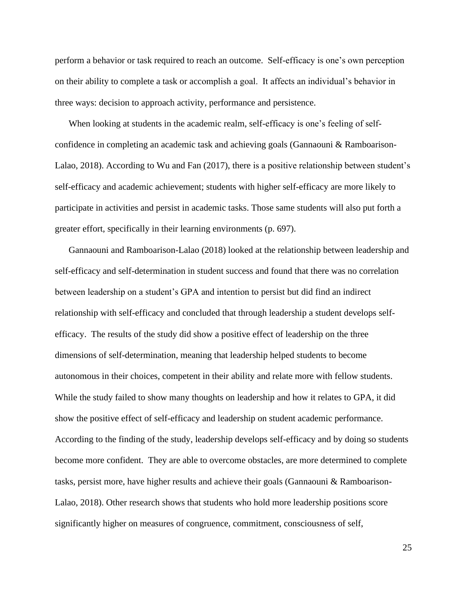perform a behavior or task required to reach an outcome. Self-efficacy is one's own perception on their ability to complete a task or accomplish a goal. It affects an individual's behavior in three ways: decision to approach activity, performance and persistence.

When looking at students in the academic realm, self-efficacy is one's feeling of selfconfidence in completing an academic task and achieving goals (Gannaouni & Ramboarison-Lalao, 2018). According to Wu and Fan (2017), there is a positive relationship between student's self-efficacy and academic achievement; students with higher self-efficacy are more likely to participate in activities and persist in academic tasks. Those same students will also put forth a greater effort, specifically in their learning environments (p. 697).

Gannaouni and Ramboarison-Lalao (2018) looked at the relationship between leadership and self-efficacy and self-determination in student success and found that there was no correlation between leadership on a student's GPA and intention to persist but did find an indirect relationship with self-efficacy and concluded that through leadership a student develops selfefficacy. The results of the study did show a positive effect of leadership on the three dimensions of self-determination, meaning that leadership helped students to become autonomous in their choices, competent in their ability and relate more with fellow students. While the study failed to show many thoughts on leadership and how it relates to GPA, it did show the positive effect of self-efficacy and leadership on student academic performance. According to the finding of the study, leadership develops self-efficacy and by doing so students become more confident. They are able to overcome obstacles, are more determined to complete tasks, persist more, have higher results and achieve their goals (Gannaouni & Ramboarison-Lalao, 2018). Other research shows that students who hold more leadership positions score significantly higher on measures of congruence, commitment, consciousness of self,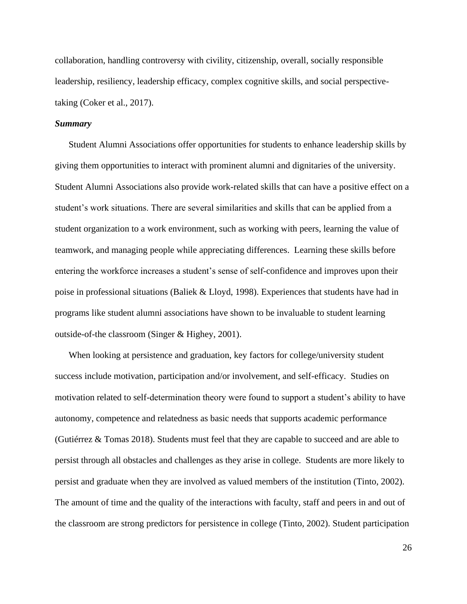collaboration, handling controversy with civility, citizenship, overall, socially responsible leadership, resiliency, leadership efficacy, complex cognitive skills, and social perspectivetaking (Coker et al., 2017).

## *Summary*

Student Alumni Associations offer opportunities for students to enhance leadership skills by giving them opportunities to interact with prominent alumni and dignitaries of the university. Student Alumni Associations also provide work-related skills that can have a positive effect on a student's work situations. There are several similarities and skills that can be applied from a student organization to a work environment, such as working with peers, learning the value of teamwork, and managing people while appreciating differences. Learning these skills before entering the workforce increases a student's sense of self-confidence and improves upon their poise in professional situations (Baliek & Lloyd, 1998). Experiences that students have had in programs like student alumni associations have shown to be invaluable to student learning outside-of-the classroom (Singer & Highey, 2001).

When looking at persistence and graduation, key factors for college/university student success include motivation, participation and/or involvement, and self-efficacy. Studies on motivation related to self-determination theory were found to support a student's ability to have autonomy, competence and relatedness as basic needs that supports academic performance (Gutiérrez & Tomas 2018). Students must feel that they are capable to succeed and are able to persist through all obstacles and challenges as they arise in college. Students are more likely to persist and graduate when they are involved as valued members of the institution (Tinto, 2002). The amount of time and the quality of the interactions with faculty, staff and peers in and out of the classroom are strong predictors for persistence in college (Tinto, 2002). Student participation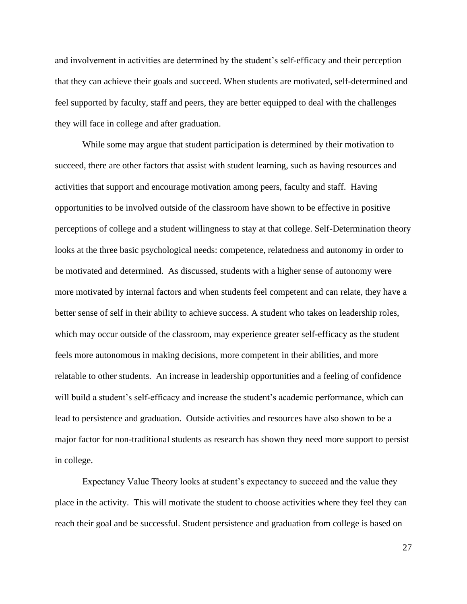and involvement in activities are determined by the student's self-efficacy and their perception that they can achieve their goals and succeed. When students are motivated, self-determined and feel supported by faculty, staff and peers, they are better equipped to deal with the challenges they will face in college and after graduation.

While some may argue that student participation is determined by their motivation to succeed, there are other factors that assist with student learning, such as having resources and activities that support and encourage motivation among peers, faculty and staff. Having opportunities to be involved outside of the classroom have shown to be effective in positive perceptions of college and a student willingness to stay at that college. Self-Determination theory looks at the three basic psychological needs: competence, relatedness and autonomy in order to be motivated and determined. As discussed, students with a higher sense of autonomy were more motivated by internal factors and when students feel competent and can relate, they have a better sense of self in their ability to achieve success. A student who takes on leadership roles, which may occur outside of the classroom, may experience greater self-efficacy as the student feels more autonomous in making decisions, more competent in their abilities, and more relatable to other students. An increase in leadership opportunities and a feeling of confidence will build a student's self-efficacy and increase the student's academic performance, which can lead to persistence and graduation. Outside activities and resources have also shown to be a major factor for non-traditional students as research has shown they need more support to persist in college.

Expectancy Value Theory looks at student's expectancy to succeed and the value they place in the activity. This will motivate the student to choose activities where they feel they can reach their goal and be successful. Student persistence and graduation from college is based on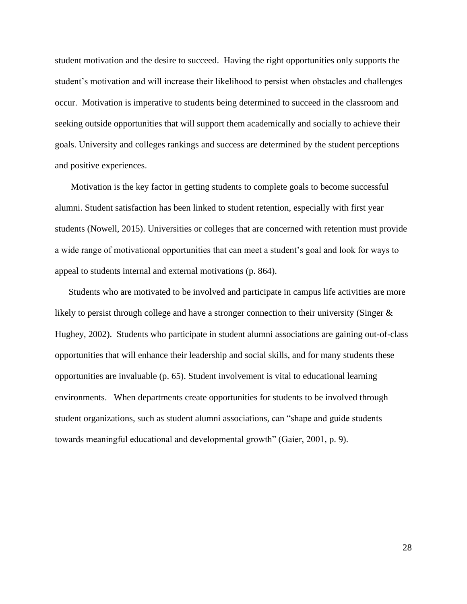student motivation and the desire to succeed. Having the right opportunities only supports the student's motivation and will increase their likelihood to persist when obstacles and challenges occur. Motivation is imperative to students being determined to succeed in the classroom and seeking outside opportunities that will support them academically and socially to achieve their goals. University and colleges rankings and success are determined by the student perceptions and positive experiences.

Motivation is the key factor in getting students to complete goals to become successful alumni. Student satisfaction has been linked to student retention, especially with first year students (Nowell, 2015). Universities or colleges that are concerned with retention must provide a wide range of motivational opportunities that can meet a student's goal and look for ways to appeal to students internal and external motivations (p. 864).

Students who are motivated to be involved and participate in campus life activities are more likely to persist through college and have a stronger connection to their university (Singer & Hughey, 2002). Students who participate in student alumni associations are gaining out-of-class opportunities that will enhance their leadership and social skills, and for many students these opportunities are invaluable (p. 65). Student involvement is vital to educational learning environments. When departments create opportunities for students to be involved through student organizations, such as student alumni associations, can "shape and guide students towards meaningful educational and developmental growth" (Gaier, 2001, p. 9).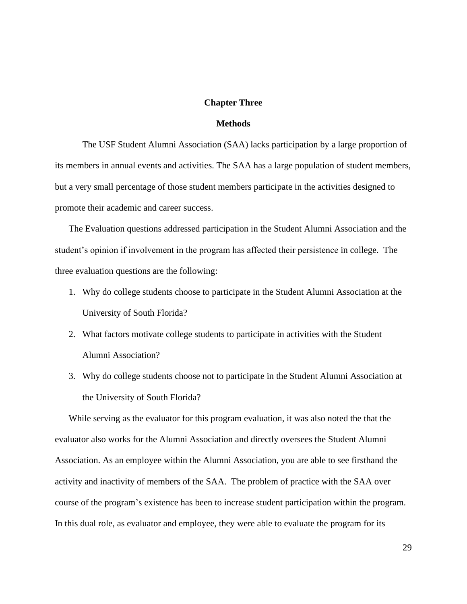# **Chapter Three**

# **Methods**

The USF Student Alumni Association (SAA) lacks participation by a large proportion of its members in annual events and activities. The SAA has a large population of student members, but a very small percentage of those student members participate in the activities designed to promote their academic and career success.

The Evaluation questions addressed participation in the Student Alumni Association and the student's opinion if involvement in the program has affected their persistence in college. The three evaluation questions are the following:

- 1. Why do college students choose to participate in the Student Alumni Association at the University of South Florida?
- 2. What factors motivate college students to participate in activities with the Student Alumni Association?
- 3. Why do college students choose not to participate in the Student Alumni Association at the University of South Florida?

While serving as the evaluator for this program evaluation, it was also noted the that the evaluator also works for the Alumni Association and directly oversees the Student Alumni Association. As an employee within the Alumni Association, you are able to see firsthand the activity and inactivity of members of the SAA. The problem of practice with the SAA over course of the program's existence has been to increase student participation within the program. In this dual role, as evaluator and employee, they were able to evaluate the program for its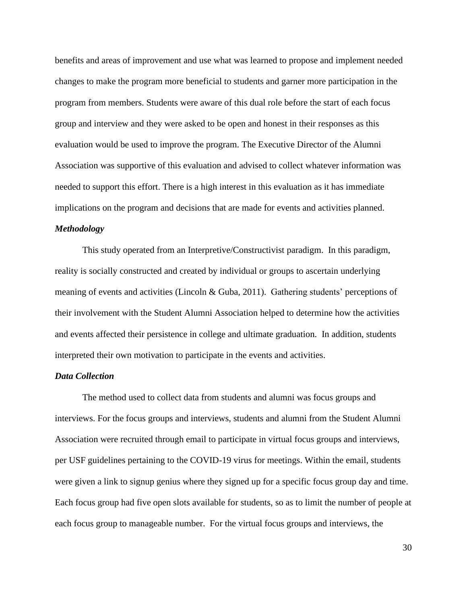benefits and areas of improvement and use what was learned to propose and implement needed changes to make the program more beneficial to students and garner more participation in the program from members. Students were aware of this dual role before the start of each focus group and interview and they were asked to be open and honest in their responses as this evaluation would be used to improve the program. The Executive Director of the Alumni Association was supportive of this evaluation and advised to collect whatever information was needed to support this effort. There is a high interest in this evaluation as it has immediate implications on the program and decisions that are made for events and activities planned.

# *Methodology*

This study operated from an Interpretive/Constructivist paradigm. In this paradigm, reality is socially constructed and created by individual or groups to ascertain underlying meaning of events and activities (Lincoln & Guba, 2011). Gathering students' perceptions of their involvement with the Student Alumni Association helped to determine how the activities and events affected their persistence in college and ultimate graduation. In addition, students interpreted their own motivation to participate in the events and activities.

# *Data Collection*

The method used to collect data from students and alumni was focus groups and interviews. For the focus groups and interviews, students and alumni from the Student Alumni Association were recruited through email to participate in virtual focus groups and interviews, per USF guidelines pertaining to the COVID-19 virus for meetings. Within the email, students were given a link to signup genius where they signed up for a specific focus group day and time. Each focus group had five open slots available for students, so as to limit the number of people at each focus group to manageable number. For the virtual focus groups and interviews, the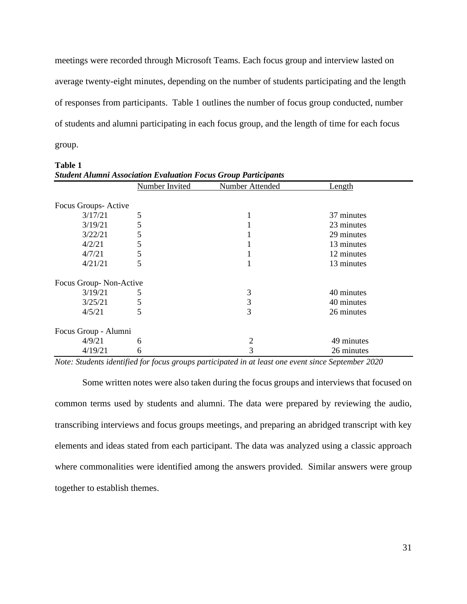meetings were recorded through Microsoft Teams. Each focus group and interview lasted on average twenty-eight minutes, depending on the number of students participating and the length of responses from participants. Table 1 outlines the number of focus group conducted, number of students and alumni participating in each focus group, and the length of time for each focus group.

| <b>Student Alumni Association Evaluation Focus Group Participants</b> |                       |                        |            |  |  |
|-----------------------------------------------------------------------|-----------------------|------------------------|------------|--|--|
|                                                                       | <b>Number Invited</b> | <b>Number Attended</b> | Length     |  |  |
| Focus Groups-Active                                                   |                       |                        |            |  |  |
| 3/17/21                                                               | 5                     |                        | 37 minutes |  |  |
| 3/19/21                                                               | 5                     |                        | 23 minutes |  |  |
| 3/22/21                                                               | 5                     |                        | 29 minutes |  |  |
| 4/2/21                                                                | 5                     |                        | 13 minutes |  |  |
| 4/7/21                                                                | 5                     |                        | 12 minutes |  |  |
| 4/21/21                                                               | 5                     |                        | 13 minutes |  |  |
| Focus Group-Non-Active                                                |                       |                        |            |  |  |
| 3/19/21                                                               | 5                     | 3                      | 40 minutes |  |  |
| 3/25/21                                                               | 5                     | 3                      | 40 minutes |  |  |
| 4/5/21                                                                | 5                     | 3                      | 26 minutes |  |  |
| Focus Group - Alumni                                                  |                       |                        |            |  |  |
| 4/9/21                                                                | 6                     | 2                      | 49 minutes |  |  |
| 4/19/21                                                               | 6                     | 3                      | 26 minutes |  |  |

**Table 1**

*Note: Students identified for focus groups participated in at least one event since September 2020*

Some written notes were also taken during the focus groups and interviews that focused on common terms used by students and alumni. The data were prepared by reviewing the audio, transcribing interviews and focus groups meetings, and preparing an abridged transcript with key elements and ideas stated from each participant. The data was analyzed using a classic approach where commonalities were identified among the answers provided. Similar answers were group together to establish themes.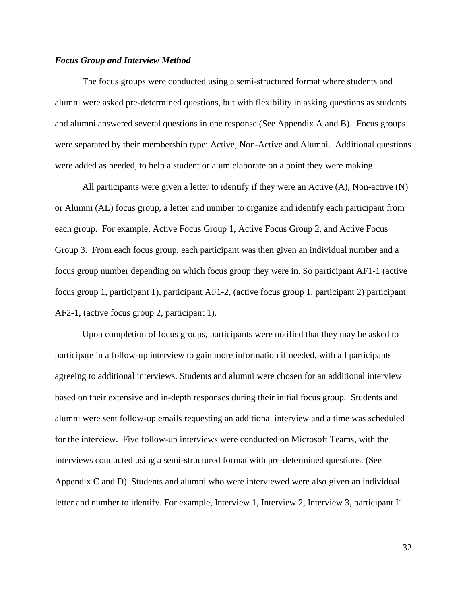# *Focus Group and Interview Method*

The focus groups were conducted using a semi-structured format where students and alumni were asked pre-determined questions, but with flexibility in asking questions as students and alumni answered several questions in one response (See Appendix A and B). Focus groups were separated by their membership type: Active, Non-Active and Alumni. Additional questions were added as needed, to help a student or alum elaborate on a point they were making.

All participants were given a letter to identify if they were an Active (A), Non-active (N) or Alumni (AL) focus group, a letter and number to organize and identify each participant from each group. For example, Active Focus Group 1, Active Focus Group 2, and Active Focus Group 3. From each focus group, each participant was then given an individual number and a focus group number depending on which focus group they were in. So participant AF1-1 (active focus group 1, participant 1), participant AF1-2, (active focus group 1, participant 2) participant AF2-1, (active focus group 2, participant 1).

Upon completion of focus groups, participants were notified that they may be asked to participate in a follow-up interview to gain more information if needed, with all participants agreeing to additional interviews. Students and alumni were chosen for an additional interview based on their extensive and in-depth responses during their initial focus group. Students and alumni were sent follow-up emails requesting an additional interview and a time was scheduled for the interview. Five follow-up interviews were conducted on Microsoft Teams, with the interviews conducted using a semi-structured format with pre-determined questions. (See Appendix C and D). Students and alumni who were interviewed were also given an individual letter and number to identify. For example, Interview 1, Interview 2, Interview 3, participant I1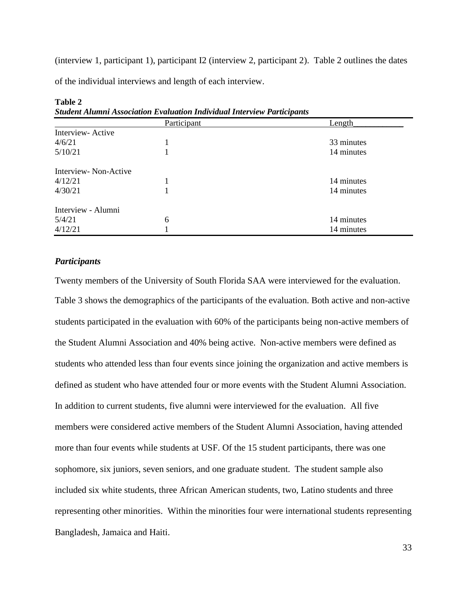(interview 1, participant 1), participant I2 (interview 2, participant 2). Table 2 outlines the dates

of the individual interviews and length of each interview.

| эниист Антти Аззосиинон Егининон тиигинин тиег геп т игиерингз |             |            |  |
|----------------------------------------------------------------|-------------|------------|--|
|                                                                | Participant | Length     |  |
| Interview-Active                                               |             |            |  |
| 4/6/21                                                         |             | 33 minutes |  |
| 5/10/21                                                        |             | 14 minutes |  |
| Interview-Non-Active                                           |             |            |  |
| 4/12/21                                                        |             | 14 minutes |  |
| 4/30/21                                                        |             | 14 minutes |  |
| Interview - Alumni                                             |             |            |  |
| 5/4/21                                                         | 6           | 14 minutes |  |
| 4/12/21                                                        |             | 14 minutes |  |

**Table 2** *Student Alumni Association Evaluation Individual Interview Participants*

# *Participants*

Twenty members of the University of South Florida SAA were interviewed for the evaluation. Table 3 shows the demographics of the participants of the evaluation. Both active and non-active students participated in the evaluation with 60% of the participants being non-active members of the Student Alumni Association and 40% being active. Non-active members were defined as students who attended less than four events since joining the organization and active members is defined as student who have attended four or more events with the Student Alumni Association. In addition to current students, five alumni were interviewed for the evaluation. All five members were considered active members of the Student Alumni Association, having attended more than four events while students at USF. Of the 15 student participants, there was one sophomore, six juniors, seven seniors, and one graduate student. The student sample also included six white students, three African American students, two, Latino students and three representing other minorities. Within the minorities four were international students representing Bangladesh, Jamaica and Haiti.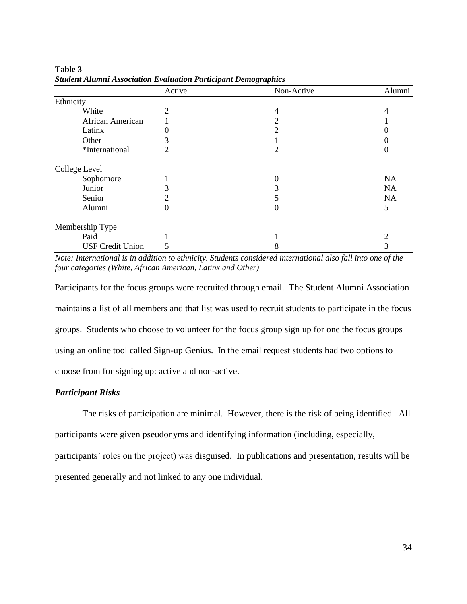|                         | Active   | Non-Active | Alumni    |
|-------------------------|----------|------------|-----------|
| Ethnicity               |          |            |           |
| White                   | 2        | 4          |           |
| African American        |          | 2          |           |
| Latinx                  |          | 2          |           |
| Other                   |          |            |           |
| *International          | 2        | 2          |           |
| College Level           |          |            |           |
| Sophomore               |          | 0          | <b>NA</b> |
| Junior                  |          | 3          | <b>NA</b> |
| Senior                  |          |            | NA        |
| Alumni                  | $\theta$ | 0          | 5         |
| Membership Type         |          |            |           |
| Paid                    |          |            |           |
| <b>USF Credit Union</b> |          | 8          | 3         |

**Table 3** *Student Alumni Association Evaluation Participant Demographics* 

*Note: International is in addition to ethnicity. Students considered international also fall into one of the four categories (White, African American, Latinx and Other)*

Participants for the focus groups were recruited through email. The Student Alumni Association maintains a list of all members and that list was used to recruit students to participate in the focus groups. Students who choose to volunteer for the focus group sign up for one the focus groups using an online tool called Sign-up Genius. In the email request students had two options to choose from for signing up: active and non-active.

# *Participant Risks*

The risks of participation are minimal. However, there is the risk of being identified. All participants were given pseudonyms and identifying information (including, especially, participants' roles on the project) was disguised. In publications and presentation, results will be

presented generally and not linked to any one individual.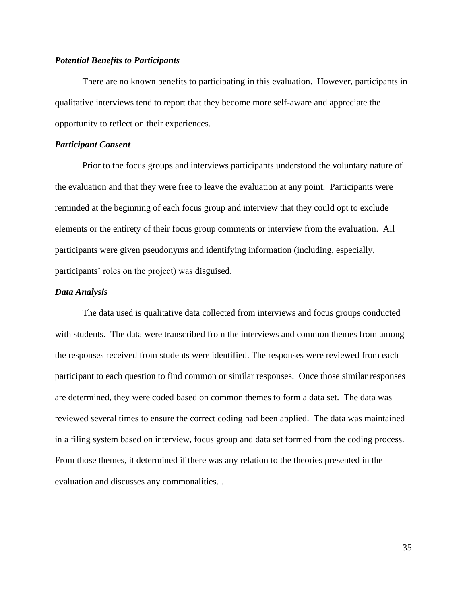### *Potential Benefits to Participants*

There are no known benefits to participating in this evaluation. However, participants in qualitative interviews tend to report that they become more self-aware and appreciate the opportunity to reflect on their experiences.

# *Participant Consent*

Prior to the focus groups and interviews participants understood the voluntary nature of the evaluation and that they were free to leave the evaluation at any point. Participants were reminded at the beginning of each focus group and interview that they could opt to exclude elements or the entirety of their focus group comments or interview from the evaluation. All participants were given pseudonyms and identifying information (including, especially, participants' roles on the project) was disguised.

# *Data Analysis*

The data used is qualitative data collected from interviews and focus groups conducted with students. The data were transcribed from the interviews and common themes from among the responses received from students were identified. The responses were reviewed from each participant to each question to find common or similar responses. Once those similar responses are determined, they were coded based on common themes to form a data set. The data was reviewed several times to ensure the correct coding had been applied. The data was maintained in a filing system based on interview, focus group and data set formed from the coding process. From those themes, it determined if there was any relation to the theories presented in the evaluation and discusses any commonalities. .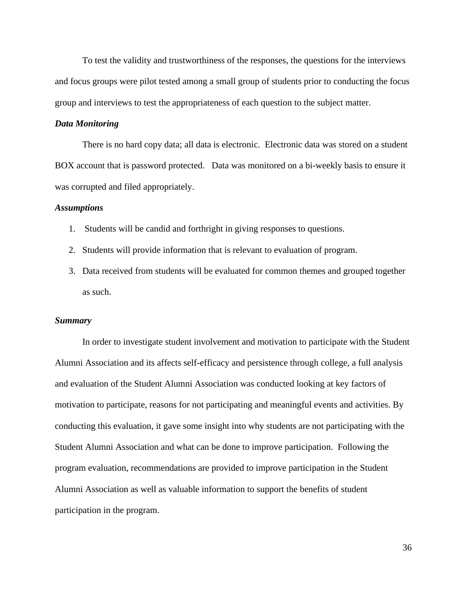To test the validity and trustworthiness of the responses, the questions for the interviews and focus groups were pilot tested among a small group of students prior to conducting the focus group and interviews to test the appropriateness of each question to the subject matter.

# *Data Monitoring*

There is no hard copy data; all data is electronic. Electronic data was stored on a student BOX account that is password protected. Data was monitored on a bi-weekly basis to ensure it was corrupted and filed appropriately.

## *Assumptions*

- 1. Students will be candid and forthright in giving responses to questions.
- 2. Students will provide information that is relevant to evaluation of program.
- 3. Data received from students will be evaluated for common themes and grouped together as such.

# *Summary*

In order to investigate student involvement and motivation to participate with the Student Alumni Association and its affects self-efficacy and persistence through college, a full analysis and evaluation of the Student Alumni Association was conducted looking at key factors of motivation to participate, reasons for not participating and meaningful events and activities. By conducting this evaluation, it gave some insight into why students are not participating with the Student Alumni Association and what can be done to improve participation. Following the program evaluation, recommendations are provided to improve participation in the Student Alumni Association as well as valuable information to support the benefits of student participation in the program.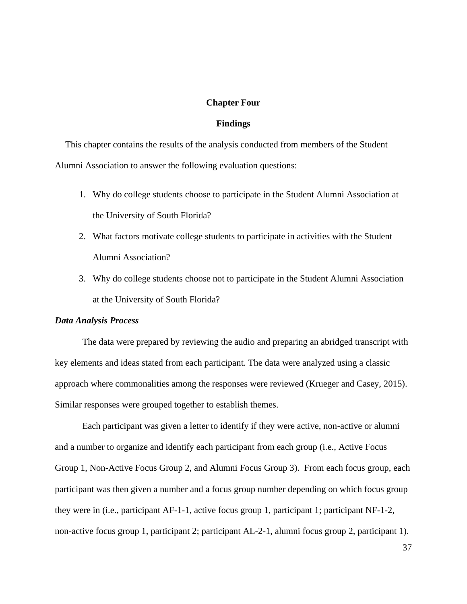## **Chapter Four**

# **Findings**

This chapter contains the results of the analysis conducted from members of the Student Alumni Association to answer the following evaluation questions:

- 1. Why do college students choose to participate in the Student Alumni Association at the University of South Florida?
- 2. What factors motivate college students to participate in activities with the Student Alumni Association?
- 3. Why do college students choose not to participate in the Student Alumni Association at the University of South Florida?

### *Data Analysis Process*

The data were prepared by reviewing the audio and preparing an abridged transcript with key elements and ideas stated from each participant. The data were analyzed using a classic approach where commonalities among the responses were reviewed (Krueger and Casey, 2015). Similar responses were grouped together to establish themes.

Each participant was given a letter to identify if they were active, non-active or alumni and a number to organize and identify each participant from each group (i.e., Active Focus Group 1, Non-Active Focus Group 2, and Alumni Focus Group 3). From each focus group, each participant was then given a number and a focus group number depending on which focus group they were in (i.e., participant AF-1-1, active focus group 1, participant 1; participant NF-1-2, non-active focus group 1, participant 2; participant AL-2-1, alumni focus group 2, participant 1).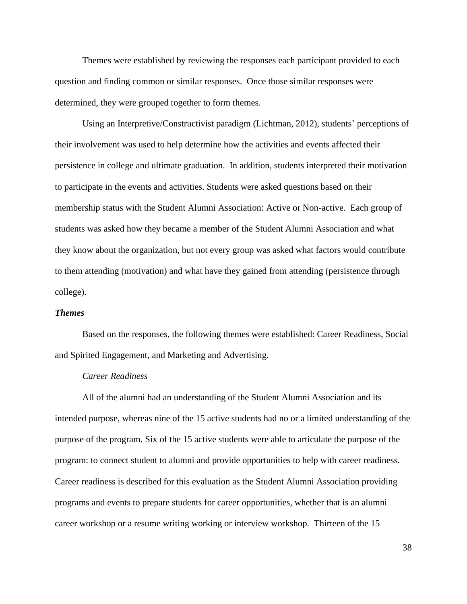Themes were established by reviewing the responses each participant provided to each question and finding common or similar responses. Once those similar responses were determined, they were grouped together to form themes.

Using an Interpretive/Constructivist paradigm (Lichtman, 2012), students' perceptions of their involvement was used to help determine how the activities and events affected their persistence in college and ultimate graduation. In addition, students interpreted their motivation to participate in the events and activities. Students were asked questions based on their membership status with the Student Alumni Association: Active or Non-active. Each group of students was asked how they became a member of the Student Alumni Association and what they know about the organization, but not every group was asked what factors would contribute to them attending (motivation) and what have they gained from attending (persistence through college).

### *Themes*

Based on the responses, the following themes were established: Career Readiness, Social and Spirited Engagement, and Marketing and Advertising.

# *Career Readiness*

All of the alumni had an understanding of the Student Alumni Association and its intended purpose, whereas nine of the 15 active students had no or a limited understanding of the purpose of the program. Six of the 15 active students were able to articulate the purpose of the program: to connect student to alumni and provide opportunities to help with career readiness. Career readiness is described for this evaluation as the Student Alumni Association providing programs and events to prepare students for career opportunities, whether that is an alumni career workshop or a resume writing working or interview workshop. Thirteen of the 15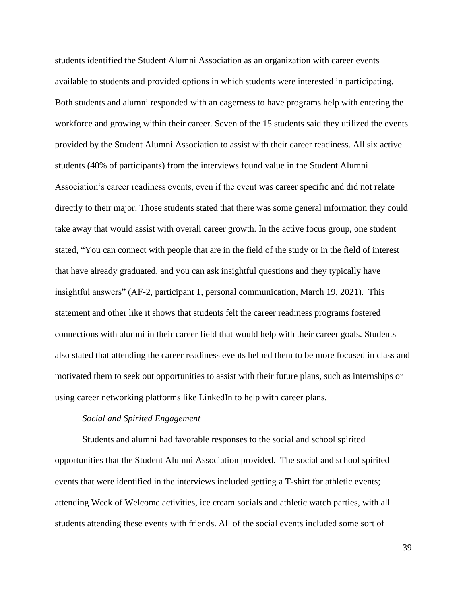students identified the Student Alumni Association as an organization with career events available to students and provided options in which students were interested in participating. Both students and alumni responded with an eagerness to have programs help with entering the workforce and growing within their career. Seven of the 15 students said they utilized the events provided by the Student Alumni Association to assist with their career readiness. All six active students (40% of participants) from the interviews found value in the Student Alumni Association's career readiness events, even if the event was career specific and did not relate directly to their major. Those students stated that there was some general information they could take away that would assist with overall career growth. In the active focus group, one student stated, "You can connect with people that are in the field of the study or in the field of interest that have already graduated, and you can ask insightful questions and they typically have insightful answers" (AF-2, participant 1, personal communication, March 19, 2021). This statement and other like it shows that students felt the career readiness programs fostered connections with alumni in their career field that would help with their career goals. Students also stated that attending the career readiness events helped them to be more focused in class and motivated them to seek out opportunities to assist with their future plans, such as internships or using career networking platforms like LinkedIn to help with career plans.

## *Social and Spirited Engagement*

Students and alumni had favorable responses to the social and school spirited opportunities that the Student Alumni Association provided. The social and school spirited events that were identified in the interviews included getting a T-shirt for athletic events; attending Week of Welcome activities, ice cream socials and athletic watch parties, with all students attending these events with friends. All of the social events included some sort of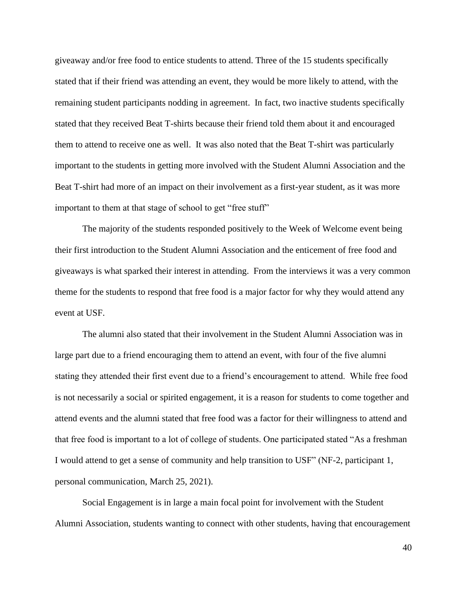giveaway and/or free food to entice students to attend. Three of the 15 students specifically stated that if their friend was attending an event, they would be more likely to attend, with the remaining student participants nodding in agreement. In fact, two inactive students specifically stated that they received Beat T-shirts because their friend told them about it and encouraged them to attend to receive one as well. It was also noted that the Beat T-shirt was particularly important to the students in getting more involved with the Student Alumni Association and the Beat T-shirt had more of an impact on their involvement as a first-year student, as it was more important to them at that stage of school to get "free stuff"

The majority of the students responded positively to the Week of Welcome event being their first introduction to the Student Alumni Association and the enticement of free food and giveaways is what sparked their interest in attending. From the interviews it was a very common theme for the students to respond that free food is a major factor for why they would attend any event at USF.

The alumni also stated that their involvement in the Student Alumni Association was in large part due to a friend encouraging them to attend an event, with four of the five alumni stating they attended their first event due to a friend's encouragement to attend. While free food is not necessarily a social or spirited engagement, it is a reason for students to come together and attend events and the alumni stated that free food was a factor for their willingness to attend and that free food is important to a lot of college of students. One participated stated "As a freshman I would attend to get a sense of community and help transition to USF" (NF-2, participant 1, personal communication, March 25, 2021).

Social Engagement is in large a main focal point for involvement with the Student Alumni Association, students wanting to connect with other students, having that encouragement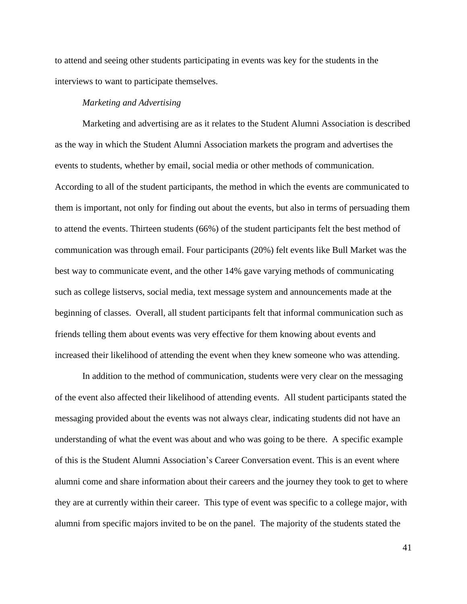to attend and seeing other students participating in events was key for the students in the interviews to want to participate themselves.

# *Marketing and Advertising*

Marketing and advertising are as it relates to the Student Alumni Association is described as the way in which the Student Alumni Association markets the program and advertises the events to students, whether by email, social media or other methods of communication. According to all of the student participants, the method in which the events are communicated to them is important, not only for finding out about the events, but also in terms of persuading them to attend the events. Thirteen students (66%) of the student participants felt the best method of communication was through email. Four participants (20%) felt events like Bull Market was the best way to communicate event, and the other 14% gave varying methods of communicating such as college listservs, social media, text message system and announcements made at the beginning of classes. Overall, all student participants felt that informal communication such as friends telling them about events was very effective for them knowing about events and increased their likelihood of attending the event when they knew someone who was attending.

In addition to the method of communication, students were very clear on the messaging of the event also affected their likelihood of attending events. All student participants stated the messaging provided about the events was not always clear, indicating students did not have an understanding of what the event was about and who was going to be there. A specific example of this is the Student Alumni Association's Career Conversation event. This is an event where alumni come and share information about their careers and the journey they took to get to where they are at currently within their career. This type of event was specific to a college major, with alumni from specific majors invited to be on the panel. The majority of the students stated the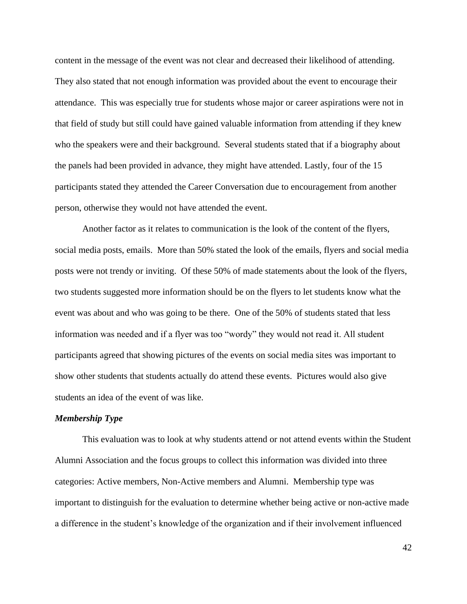content in the message of the event was not clear and decreased their likelihood of attending. They also stated that not enough information was provided about the event to encourage their attendance. This was especially true for students whose major or career aspirations were not in that field of study but still could have gained valuable information from attending if they knew who the speakers were and their background. Several students stated that if a biography about the panels had been provided in advance, they might have attended. Lastly, four of the 15 participants stated they attended the Career Conversation due to encouragement from another person, otherwise they would not have attended the event.

Another factor as it relates to communication is the look of the content of the flyers, social media posts, emails. More than 50% stated the look of the emails, flyers and social media posts were not trendy or inviting. Of these 50% of made statements about the look of the flyers, two students suggested more information should be on the flyers to let students know what the event was about and who was going to be there. One of the 50% of students stated that less information was needed and if a flyer was too "wordy" they would not read it. All student participants agreed that showing pictures of the events on social media sites was important to show other students that students actually do attend these events. Pictures would also give students an idea of the event of was like.

## *Membership Type*

This evaluation was to look at why students attend or not attend events within the Student Alumni Association and the focus groups to collect this information was divided into three categories: Active members, Non-Active members and Alumni. Membership type was important to distinguish for the evaluation to determine whether being active or non-active made a difference in the student's knowledge of the organization and if their involvement influenced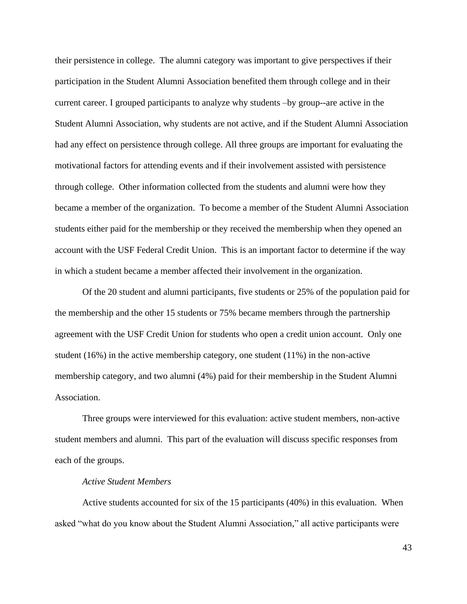their persistence in college. The alumni category was important to give perspectives if their participation in the Student Alumni Association benefited them through college and in their current career. I grouped participants to analyze why students –by group--are active in the Student Alumni Association, why students are not active, and if the Student Alumni Association had any effect on persistence through college. All three groups are important for evaluating the motivational factors for attending events and if their involvement assisted with persistence through college. Other information collected from the students and alumni were how they became a member of the organization. To become a member of the Student Alumni Association students either paid for the membership or they received the membership when they opened an account with the USF Federal Credit Union. This is an important factor to determine if the way in which a student became a member affected their involvement in the organization.

Of the 20 student and alumni participants, five students or 25% of the population paid for the membership and the other 15 students or 75% became members through the partnership agreement with the USF Credit Union for students who open a credit union account. Only one student (16%) in the active membership category, one student (11%) in the non-active membership category, and two alumni (4%) paid for their membership in the Student Alumni Association.

Three groups were interviewed for this evaluation: active student members, non-active student members and alumni. This part of the evaluation will discuss specific responses from each of the groups.

#### *Active Student Members*

Active students accounted for six of the 15 participants (40%) in this evaluation. When asked "what do you know about the Student Alumni Association," all active participants were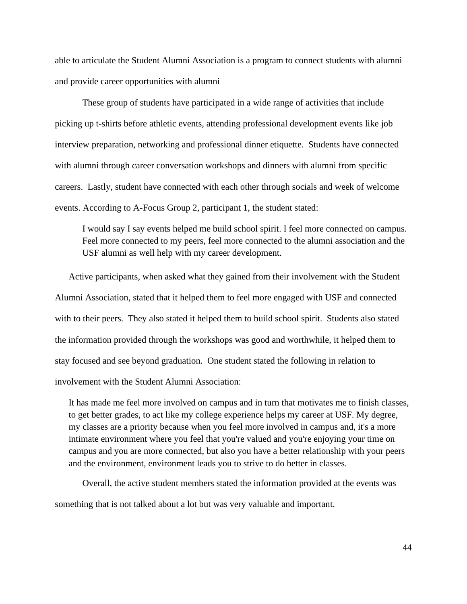able to articulate the Student Alumni Association is a program to connect students with alumni and provide career opportunities with alumni

These group of students have participated in a wide range of activities that include picking up t-shirts before athletic events, attending professional development events like job interview preparation, networking and professional dinner etiquette. Students have connected with alumni through career conversation workshops and dinners with alumni from specific careers. Lastly, student have connected with each other through socials and week of welcome events. According to A-Focus Group 2, participant 1, the student stated:

I would say I say events helped me build school spirit. I feel more connected on campus. Feel more connected to my peers, feel more connected to the alumni association and the USF alumni as well help with my career development.

Active participants, when asked what they gained from their involvement with the Student Alumni Association, stated that it helped them to feel more engaged with USF and connected with to their peers. They also stated it helped them to build school spirit. Students also stated the information provided through the workshops was good and worthwhile, it helped them to stay focused and see beyond graduation. One student stated the following in relation to involvement with the Student Alumni Association:

It has made me feel more involved on campus and in turn that motivates me to finish classes, to get better grades, to act like my college experience helps my career at USF. My degree, my classes are a priority because when you feel more involved in campus and, it's a more intimate environment where you feel that you're valued and you're enjoying your time on campus and you are more connected, but also you have a better relationship with your peers and the environment, environment leads you to strive to do better in classes.

Overall, the active student members stated the information provided at the events was something that is not talked about a lot but was very valuable and important.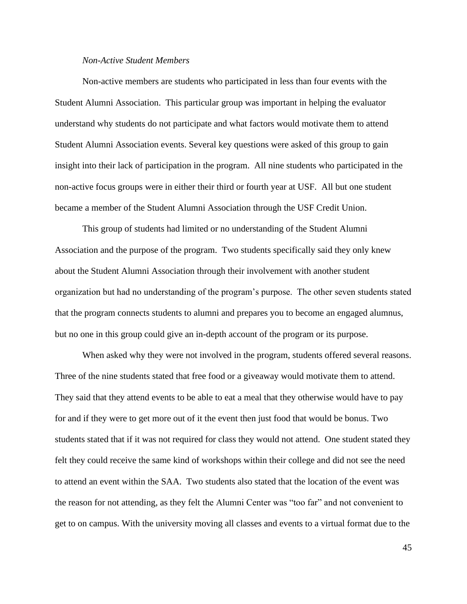# *Non-Active Student Members*

Non-active members are students who participated in less than four events with the Student Alumni Association. This particular group was important in helping the evaluator understand why students do not participate and what factors would motivate them to attend Student Alumni Association events. Several key questions were asked of this group to gain insight into their lack of participation in the program. All nine students who participated in the non-active focus groups were in either their third or fourth year at USF. All but one student became a member of the Student Alumni Association through the USF Credit Union.

This group of students had limited or no understanding of the Student Alumni Association and the purpose of the program. Two students specifically said they only knew about the Student Alumni Association through their involvement with another student organization but had no understanding of the program's purpose. The other seven students stated that the program connects students to alumni and prepares you to become an engaged alumnus, but no one in this group could give an in-depth account of the program or its purpose.

When asked why they were not involved in the program, students offered several reasons. Three of the nine students stated that free food or a giveaway would motivate them to attend. They said that they attend events to be able to eat a meal that they otherwise would have to pay for and if they were to get more out of it the event then just food that would be bonus. Two students stated that if it was not required for class they would not attend. One student stated they felt they could receive the same kind of workshops within their college and did not see the need to attend an event within the SAA. Two students also stated that the location of the event was the reason for not attending, as they felt the Alumni Center was "too far" and not convenient to get to on campus. With the university moving all classes and events to a virtual format due to the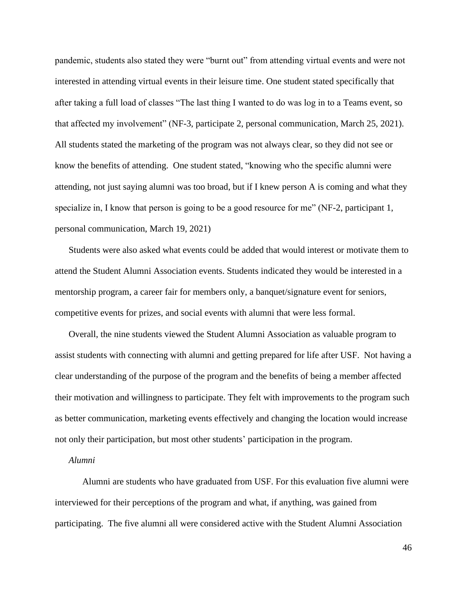pandemic, students also stated they were "burnt out" from attending virtual events and were not interested in attending virtual events in their leisure time. One student stated specifically that after taking a full load of classes "The last thing I wanted to do was log in to a Teams event, so that affected my involvement" (NF-3, participate 2, personal communication, March 25, 2021). All students stated the marketing of the program was not always clear, so they did not see or know the benefits of attending. One student stated, "knowing who the specific alumni were attending, not just saying alumni was too broad, but if I knew person A is coming and what they specialize in, I know that person is going to be a good resource for me" (NF-2, participant 1, personal communication, March 19, 2021)

Students were also asked what events could be added that would interest or motivate them to attend the Student Alumni Association events. Students indicated they would be interested in a mentorship program, a career fair for members only, a banquet/signature event for seniors, competitive events for prizes, and social events with alumni that were less formal.

Overall, the nine students viewed the Student Alumni Association as valuable program to assist students with connecting with alumni and getting prepared for life after USF. Not having a clear understanding of the purpose of the program and the benefits of being a member affected their motivation and willingness to participate. They felt with improvements to the program such as better communication, marketing events effectively and changing the location would increase not only their participation, but most other students' participation in the program.

# *Alumni*

Alumni are students who have graduated from USF. For this evaluation five alumni were interviewed for their perceptions of the program and what, if anything, was gained from participating. The five alumni all were considered active with the Student Alumni Association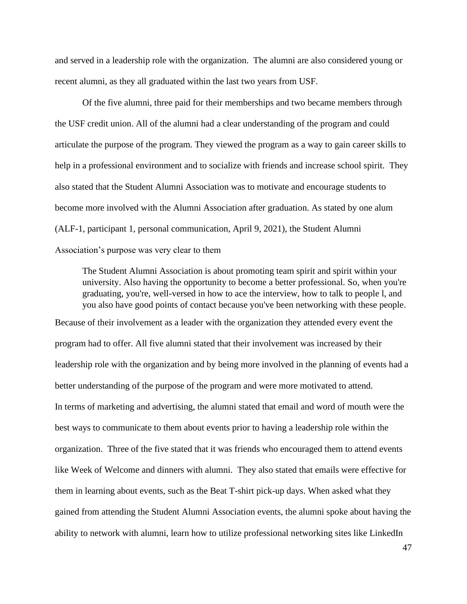and served in a leadership role with the organization. The alumni are also considered young or recent alumni, as they all graduated within the last two years from USF.

Of the five alumni, three paid for their memberships and two became members through the USF credit union. All of the alumni had a clear understanding of the program and could articulate the purpose of the program. They viewed the program as a way to gain career skills to help in a professional environment and to socialize with friends and increase school spirit. They also stated that the Student Alumni Association was to motivate and encourage students to become more involved with the Alumni Association after graduation. As stated by one alum (ALF-1, participant 1, personal communication, April 9, 2021), the Student Alumni Association's purpose was very clear to them

The Student Alumni Association is about promoting team spirit and spirit within your university. Also having the opportunity to become a better professional. So, when you're graduating, you're, well-versed in how to ace the interview, how to talk to people l, and you also have good points of contact because you've been networking with these people.

Because of their involvement as a leader with the organization they attended every event the program had to offer. All five alumni stated that their involvement was increased by their leadership role with the organization and by being more involved in the planning of events had a better understanding of the purpose of the program and were more motivated to attend. In terms of marketing and advertising, the alumni stated that email and word of mouth were the best ways to communicate to them about events prior to having a leadership role within the organization. Three of the five stated that it was friends who encouraged them to attend events like Week of Welcome and dinners with alumni. They also stated that emails were effective for them in learning about events, such as the Beat T-shirt pick-up days. When asked what they gained from attending the Student Alumni Association events, the alumni spoke about having the ability to network with alumni, learn how to utilize professional networking sites like LinkedIn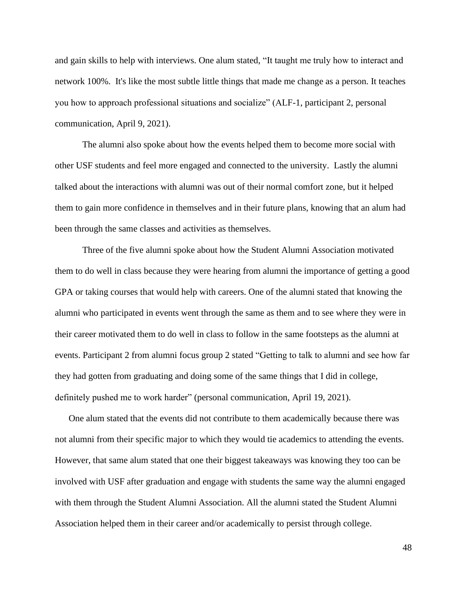and gain skills to help with interviews. One alum stated, "It taught me truly how to interact and network 100%. It's like the most subtle little things that made me change as a person. It teaches you how to approach professional situations and socialize" (ALF-1, participant 2, personal communication, April 9, 2021).

The alumni also spoke about how the events helped them to become more social with other USF students and feel more engaged and connected to the university. Lastly the alumni talked about the interactions with alumni was out of their normal comfort zone, but it helped them to gain more confidence in themselves and in their future plans, knowing that an alum had been through the same classes and activities as themselves.

Three of the five alumni spoke about how the Student Alumni Association motivated them to do well in class because they were hearing from alumni the importance of getting a good GPA or taking courses that would help with careers. One of the alumni stated that knowing the alumni who participated in events went through the same as them and to see where they were in their career motivated them to do well in class to follow in the same footsteps as the alumni at events. Participant 2 from alumni focus group 2 stated "Getting to talk to alumni and see how far they had gotten from graduating and doing some of the same things that I did in college, definitely pushed me to work harder" (personal communication, April 19, 2021).

One alum stated that the events did not contribute to them academically because there was not alumni from their specific major to which they would tie academics to attending the events. However, that same alum stated that one their biggest takeaways was knowing they too can be involved with USF after graduation and engage with students the same way the alumni engaged with them through the Student Alumni Association. All the alumni stated the Student Alumni Association helped them in their career and/or academically to persist through college.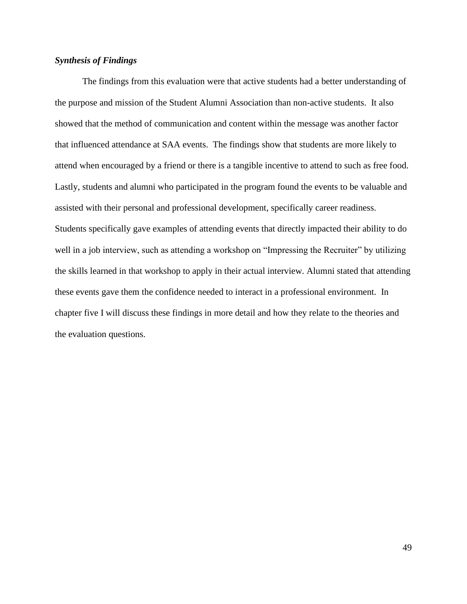# *Synthesis of Findings*

The findings from this evaluation were that active students had a better understanding of the purpose and mission of the Student Alumni Association than non-active students. It also showed that the method of communication and content within the message was another factor that influenced attendance at SAA events. The findings show that students are more likely to attend when encouraged by a friend or there is a tangible incentive to attend to such as free food. Lastly, students and alumni who participated in the program found the events to be valuable and assisted with their personal and professional development, specifically career readiness. Students specifically gave examples of attending events that directly impacted their ability to do well in a job interview, such as attending a workshop on "Impressing the Recruiter" by utilizing the skills learned in that workshop to apply in their actual interview. Alumni stated that attending these events gave them the confidence needed to interact in a professional environment. In chapter five I will discuss these findings in more detail and how they relate to the theories and the evaluation questions.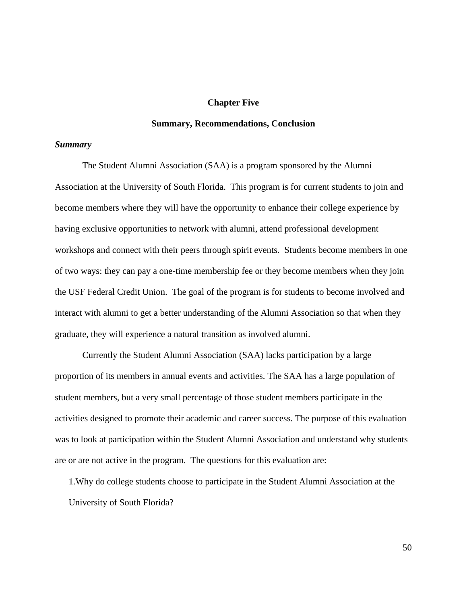### **Chapter Five**

# **Summary, Recommendations, Conclusion**

#### *Summary*

The Student Alumni Association (SAA) is a program sponsored by the Alumni Association at the University of South Florida. This program is for current students to join and become members where they will have the opportunity to enhance their college experience by having exclusive opportunities to network with alumni, attend professional development workshops and connect with their peers through spirit events. Students become members in one of two ways: they can pay a one-time membership fee or they become members when they join the USF Federal Credit Union. The goal of the program is for students to become involved and interact with alumni to get a better understanding of the Alumni Association so that when they graduate, they will experience a natural transition as involved alumni.

Currently the Student Alumni Association (SAA) lacks participation by a large proportion of its members in annual events and activities. The SAA has a large population of student members, but a very small percentage of those student members participate in the activities designed to promote their academic and career success. The purpose of this evaluation was to look at participation within the Student Alumni Association and understand why students are or are not active in the program. The questions for this evaluation are:

1.Why do college students choose to participate in the Student Alumni Association at the University of South Florida?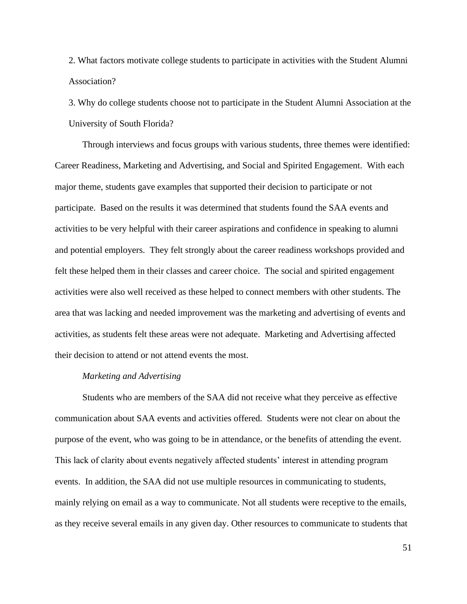2. What factors motivate college students to participate in activities with the Student Alumni Association?

3. Why do college students choose not to participate in the Student Alumni Association at the University of South Florida?

Through interviews and focus groups with various students, three themes were identified: Career Readiness, Marketing and Advertising, and Social and Spirited Engagement. With each major theme, students gave examples that supported their decision to participate or not participate. Based on the results it was determined that students found the SAA events and activities to be very helpful with their career aspirations and confidence in speaking to alumni and potential employers. They felt strongly about the career readiness workshops provided and felt these helped them in their classes and career choice. The social and spirited engagement activities were also well received as these helped to connect members with other students. The area that was lacking and needed improvement was the marketing and advertising of events and activities, as students felt these areas were not adequate. Marketing and Advertising affected their decision to attend or not attend events the most.

#### *Marketing and Advertising*

Students who are members of the SAA did not receive what they perceive as effective communication about SAA events and activities offered. Students were not clear on about the purpose of the event, who was going to be in attendance, or the benefits of attending the event. This lack of clarity about events negatively affected students' interest in attending program events. In addition, the SAA did not use multiple resources in communicating to students, mainly relying on email as a way to communicate. Not all students were receptive to the emails, as they receive several emails in any given day. Other resources to communicate to students that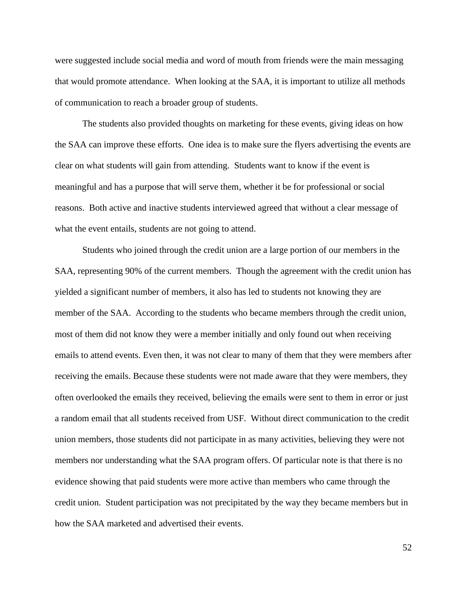were suggested include social media and word of mouth from friends were the main messaging that would promote attendance. When looking at the SAA, it is important to utilize all methods of communication to reach a broader group of students.

The students also provided thoughts on marketing for these events, giving ideas on how the SAA can improve these efforts. One idea is to make sure the flyers advertising the events are clear on what students will gain from attending. Students want to know if the event is meaningful and has a purpose that will serve them, whether it be for professional or social reasons. Both active and inactive students interviewed agreed that without a clear message of what the event entails, students are not going to attend.

Students who joined through the credit union are a large portion of our members in the SAA, representing 90% of the current members. Though the agreement with the credit union has yielded a significant number of members, it also has led to students not knowing they are member of the SAA. According to the students who became members through the credit union, most of them did not know they were a member initially and only found out when receiving emails to attend events. Even then, it was not clear to many of them that they were members after receiving the emails. Because these students were not made aware that they were members, they often overlooked the emails they received, believing the emails were sent to them in error or just a random email that all students received from USF. Without direct communication to the credit union members, those students did not participate in as many activities, believing they were not members nor understanding what the SAA program offers. Of particular note is that there is no evidence showing that paid students were more active than members who came through the credit union. Student participation was not precipitated by the way they became members but in how the SAA marketed and advertised their events.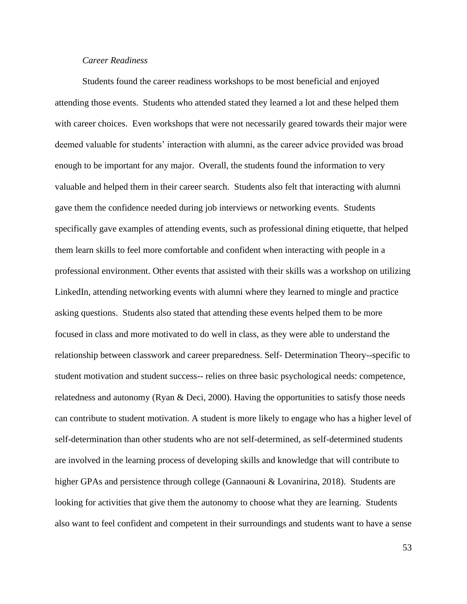# *Career Readiness*

Students found the career readiness workshops to be most beneficial and enjoyed attending those events. Students who attended stated they learned a lot and these helped them with career choices. Even workshops that were not necessarily geared towards their major were deemed valuable for students' interaction with alumni, as the career advice provided was broad enough to be important for any major. Overall, the students found the information to very valuable and helped them in their career search. Students also felt that interacting with alumni gave them the confidence needed during job interviews or networking events. Students specifically gave examples of attending events, such as professional dining etiquette, that helped them learn skills to feel more comfortable and confident when interacting with people in a professional environment. Other events that assisted with their skills was a workshop on utilizing LinkedIn, attending networking events with alumni where they learned to mingle and practice asking questions. Students also stated that attending these events helped them to be more focused in class and more motivated to do well in class, as they were able to understand the relationship between classwork and career preparedness. Self- Determination Theory--specific to student motivation and student success-- relies on three basic psychological needs: competence, relatedness and autonomy (Ryan & Deci, 2000). Having the opportunities to satisfy those needs can contribute to student motivation. A student is more likely to engage who has a higher level of self-determination than other students who are not self-determined, as self-determined students are involved in the learning process of developing skills and knowledge that will contribute to higher GPAs and persistence through college (Gannaouni & Lovanirina, 2018). Students are looking for activities that give them the autonomy to choose what they are learning. Students also want to feel confident and competent in their surroundings and students want to have a sense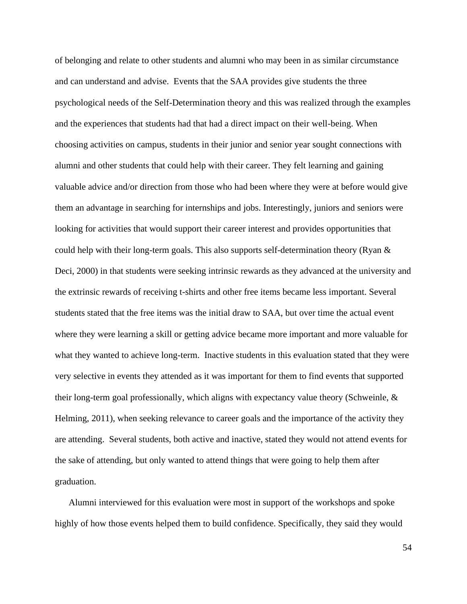of belonging and relate to other students and alumni who may been in as similar circumstance and can understand and advise. Events that the SAA provides give students the three psychological needs of the Self-Determination theory and this was realized through the examples and the experiences that students had that had a direct impact on their well-being. When choosing activities on campus, students in their junior and senior year sought connections with alumni and other students that could help with their career. They felt learning and gaining valuable advice and/or direction from those who had been where they were at before would give them an advantage in searching for internships and jobs. Interestingly, juniors and seniors were looking for activities that would support their career interest and provides opportunities that could help with their long-term goals. This also supports self-determination theory (Ryan & Deci, 2000) in that students were seeking intrinsic rewards as they advanced at the university and the extrinsic rewards of receiving t-shirts and other free items became less important. Several students stated that the free items was the initial draw to SAA, but over time the actual event where they were learning a skill or getting advice became more important and more valuable for what they wanted to achieve long-term. Inactive students in this evaluation stated that they were very selective in events they attended as it was important for them to find events that supported their long-term goal professionally, which aligns with expectancy value theory (Schweinle, & Helming, 2011), when seeking relevance to career goals and the importance of the activity they are attending. Several students, both active and inactive, stated they would not attend events for the sake of attending, but only wanted to attend things that were going to help them after graduation.

Alumni interviewed for this evaluation were most in support of the workshops and spoke highly of how those events helped them to build confidence. Specifically, they said they would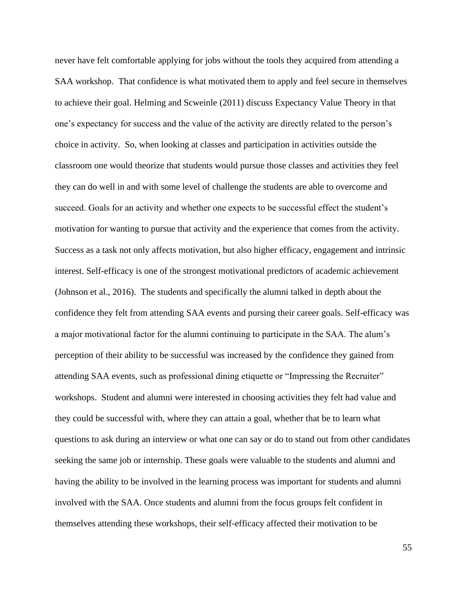never have felt comfortable applying for jobs without the tools they acquired from attending a SAA workshop. That confidence is what motivated them to apply and feel secure in themselves to achieve their goal. Helming and Scweinle (2011) discuss Expectancy Value Theory in that one's expectancy for success and the value of the activity are directly related to the person's choice in activity. So, when looking at classes and participation in activities outside the classroom one would theorize that students would pursue those classes and activities they feel they can do well in and with some level of challenge the students are able to overcome and succeed. Goals for an activity and whether one expects to be successful effect the student's motivation for wanting to pursue that activity and the experience that comes from the activity. Success as a task not only affects motivation, but also higher efficacy, engagement and intrinsic interest. Self-efficacy is one of the strongest motivational predictors of academic achievement (Johnson et al., 2016). The students and specifically the alumni talked in depth about the confidence they felt from attending SAA events and pursing their career goals. Self-efficacy was a major motivational factor for the alumni continuing to participate in the SAA. The alum's perception of their ability to be successful was increased by the confidence they gained from attending SAA events, such as professional dining etiquette or "Impressing the Recruiter" workshops. Student and alumni were interested in choosing activities they felt had value and they could be successful with, where they can attain a goal, whether that be to learn what questions to ask during an interview or what one can say or do to stand out from other candidates seeking the same job or internship. These goals were valuable to the students and alumni and having the ability to be involved in the learning process was important for students and alumni involved with the SAA. Once students and alumni from the focus groups felt confident in themselves attending these workshops, their self-efficacy affected their motivation to be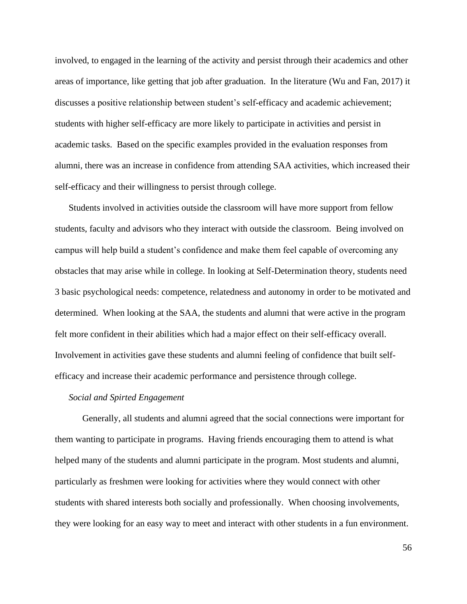involved, to engaged in the learning of the activity and persist through their academics and other areas of importance, like getting that job after graduation. In the literature (Wu and Fan, 2017) it discusses a positive relationship between student's self-efficacy and academic achievement; students with higher self-efficacy are more likely to participate in activities and persist in academic tasks. Based on the specific examples provided in the evaluation responses from alumni, there was an increase in confidence from attending SAA activities, which increased their self-efficacy and their willingness to persist through college.

Students involved in activities outside the classroom will have more support from fellow students, faculty and advisors who they interact with outside the classroom. Being involved on campus will help build a student's confidence and make them feel capable of overcoming any obstacles that may arise while in college. In looking at Self-Determination theory, students need 3 basic psychological needs: competence, relatedness and autonomy in order to be motivated and determined. When looking at the SAA, the students and alumni that were active in the program felt more confident in their abilities which had a major effect on their self-efficacy overall. Involvement in activities gave these students and alumni feeling of confidence that built selfefficacy and increase their academic performance and persistence through college.

#### *Social and Spirted Engagement*

Generally, all students and alumni agreed that the social connections were important for them wanting to participate in programs. Having friends encouraging them to attend is what helped many of the students and alumni participate in the program. Most students and alumni, particularly as freshmen were looking for activities where they would connect with other students with shared interests both socially and professionally. When choosing involvements, they were looking for an easy way to meet and interact with other students in a fun environment.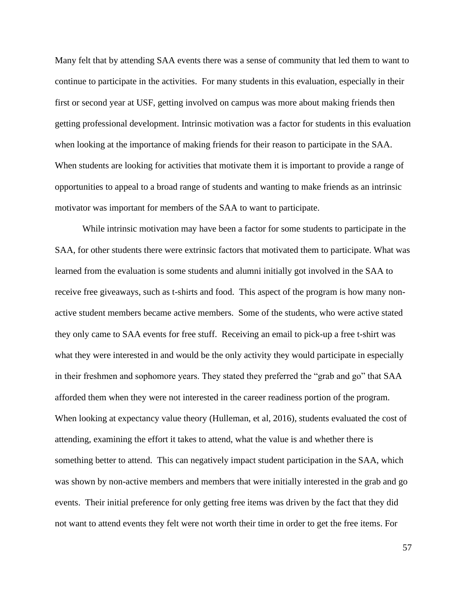Many felt that by attending SAA events there was a sense of community that led them to want to continue to participate in the activities. For many students in this evaluation, especially in their first or second year at USF, getting involved on campus was more about making friends then getting professional development. Intrinsic motivation was a factor for students in this evaluation when looking at the importance of making friends for their reason to participate in the SAA. When students are looking for activities that motivate them it is important to provide a range of opportunities to appeal to a broad range of students and wanting to make friends as an intrinsic motivator was important for members of the SAA to want to participate.

While intrinsic motivation may have been a factor for some students to participate in the SAA, for other students there were extrinsic factors that motivated them to participate. What was learned from the evaluation is some students and alumni initially got involved in the SAA to receive free giveaways, such as t-shirts and food. This aspect of the program is how many nonactive student members became active members. Some of the students, who were active stated they only came to SAA events for free stuff. Receiving an email to pick-up a free t-shirt was what they were interested in and would be the only activity they would participate in especially in their freshmen and sophomore years. They stated they preferred the "grab and go" that SAA afforded them when they were not interested in the career readiness portion of the program. When looking at expectancy value theory (Hulleman, et al, 2016), students evaluated the cost of attending, examining the effort it takes to attend, what the value is and whether there is something better to attend. This can negatively impact student participation in the SAA, which was shown by non-active members and members that were initially interested in the grab and go events. Their initial preference for only getting free items was driven by the fact that they did not want to attend events they felt were not worth their time in order to get the free items. For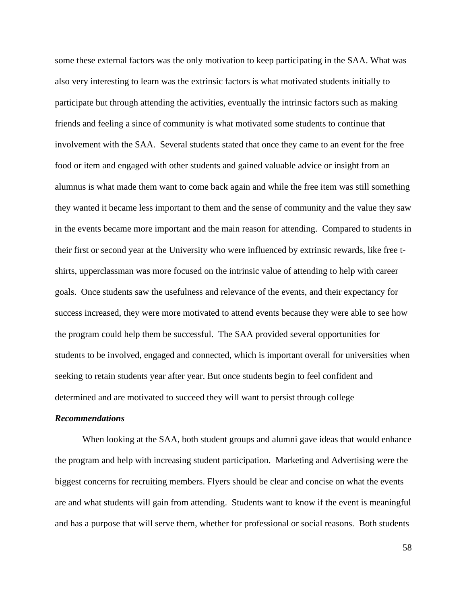some these external factors was the only motivation to keep participating in the SAA. What was also very interesting to learn was the extrinsic factors is what motivated students initially to participate but through attending the activities, eventually the intrinsic factors such as making friends and feeling a since of community is what motivated some students to continue that involvement with the SAA. Several students stated that once they came to an event for the free food or item and engaged with other students and gained valuable advice or insight from an alumnus is what made them want to come back again and while the free item was still something they wanted it became less important to them and the sense of community and the value they saw in the events became more important and the main reason for attending. Compared to students in their first or second year at the University who were influenced by extrinsic rewards, like free tshirts, upperclassman was more focused on the intrinsic value of attending to help with career goals. Once students saw the usefulness and relevance of the events, and their expectancy for success increased, they were more motivated to attend events because they were able to see how the program could help them be successful. The SAA provided several opportunities for students to be involved, engaged and connected, which is important overall for universities when seeking to retain students year after year. But once students begin to feel confident and determined and are motivated to succeed they will want to persist through college

#### *Recommendations*

When looking at the SAA, both student groups and alumni gave ideas that would enhance the program and help with increasing student participation. Marketing and Advertising were the biggest concerns for recruiting members. Flyers should be clear and concise on what the events are and what students will gain from attending. Students want to know if the event is meaningful and has a purpose that will serve them, whether for professional or social reasons. Both students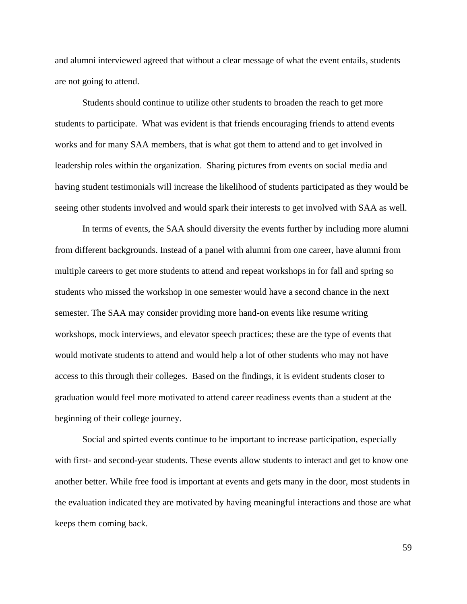and alumni interviewed agreed that without a clear message of what the event entails, students are not going to attend.

Students should continue to utilize other students to broaden the reach to get more students to participate. What was evident is that friends encouraging friends to attend events works and for many SAA members, that is what got them to attend and to get involved in leadership roles within the organization. Sharing pictures from events on social media and having student testimonials will increase the likelihood of students participated as they would be seeing other students involved and would spark their interests to get involved with SAA as well.

In terms of events, the SAA should diversity the events further by including more alumni from different backgrounds. Instead of a panel with alumni from one career, have alumni from multiple careers to get more students to attend and repeat workshops in for fall and spring so students who missed the workshop in one semester would have a second chance in the next semester. The SAA may consider providing more hand-on events like resume writing workshops, mock interviews, and elevator speech practices; these are the type of events that would motivate students to attend and would help a lot of other students who may not have access to this through their colleges. Based on the findings, it is evident students closer to graduation would feel more motivated to attend career readiness events than a student at the beginning of their college journey.

Social and spirted events continue to be important to increase participation, especially with first- and second-year students. These events allow students to interact and get to know one another better. While free food is important at events and gets many in the door, most students in the evaluation indicated they are motivated by having meaningful interactions and those are what keeps them coming back.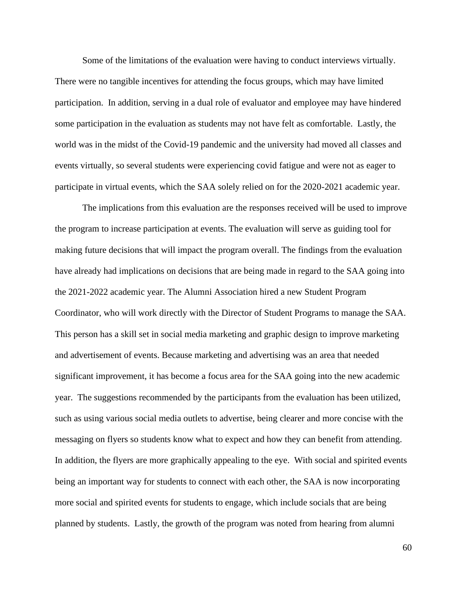Some of the limitations of the evaluation were having to conduct interviews virtually. There were no tangible incentives for attending the focus groups, which may have limited participation. In addition, serving in a dual role of evaluator and employee may have hindered some participation in the evaluation as students may not have felt as comfortable. Lastly, the world was in the midst of the Covid-19 pandemic and the university had moved all classes and events virtually, so several students were experiencing covid fatigue and were not as eager to participate in virtual events, which the SAA solely relied on for the 2020-2021 academic year.

The implications from this evaluation are the responses received will be used to improve the program to increase participation at events. The evaluation will serve as guiding tool for making future decisions that will impact the program overall. The findings from the evaluation have already had implications on decisions that are being made in regard to the SAA going into the 2021-2022 academic year. The Alumni Association hired a new Student Program Coordinator, who will work directly with the Director of Student Programs to manage the SAA. This person has a skill set in social media marketing and graphic design to improve marketing and advertisement of events. Because marketing and advertising was an area that needed significant improvement, it has become a focus area for the SAA going into the new academic year. The suggestions recommended by the participants from the evaluation has been utilized, such as using various social media outlets to advertise, being clearer and more concise with the messaging on flyers so students know what to expect and how they can benefit from attending. In addition, the flyers are more graphically appealing to the eye. With social and spirited events being an important way for students to connect with each other, the SAA is now incorporating more social and spirited events for students to engage, which include socials that are being planned by students. Lastly, the growth of the program was noted from hearing from alumni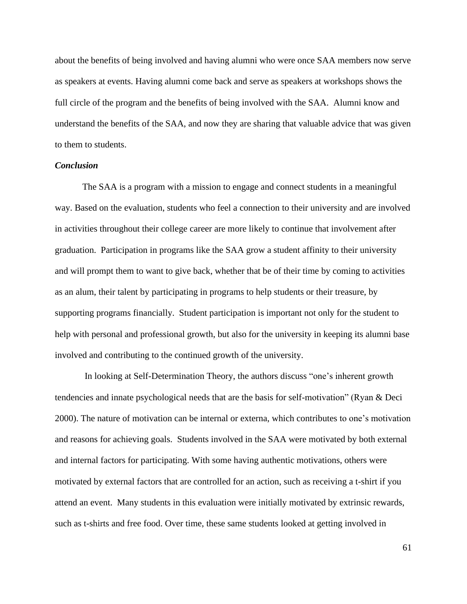about the benefits of being involved and having alumni who were once SAA members now serve as speakers at events. Having alumni come back and serve as speakers at workshops shows the full circle of the program and the benefits of being involved with the SAA. Alumni know and understand the benefits of the SAA, and now they are sharing that valuable advice that was given to them to students.

# *Conclusion*

The SAA is a program with a mission to engage and connect students in a meaningful way. Based on the evaluation, students who feel a connection to their university and are involved in activities throughout their college career are more likely to continue that involvement after graduation. Participation in programs like the SAA grow a student affinity to their university and will prompt them to want to give back, whether that be of their time by coming to activities as an alum, their talent by participating in programs to help students or their treasure, by supporting programs financially. Student participation is important not only for the student to help with personal and professional growth, but also for the university in keeping its alumni base involved and contributing to the continued growth of the university.

In looking at Self-Determination Theory, the authors discuss "one's inherent growth tendencies and innate psychological needs that are the basis for self-motivation" (Ryan & Deci 2000). The nature of motivation can be internal or externa, which contributes to one's motivation and reasons for achieving goals. Students involved in the SAA were motivated by both external and internal factors for participating. With some having authentic motivations, others were motivated by external factors that are controlled for an action, such as receiving a t-shirt if you attend an event. Many students in this evaluation were initially motivated by extrinsic rewards, such as t-shirts and free food. Over time, these same students looked at getting involved in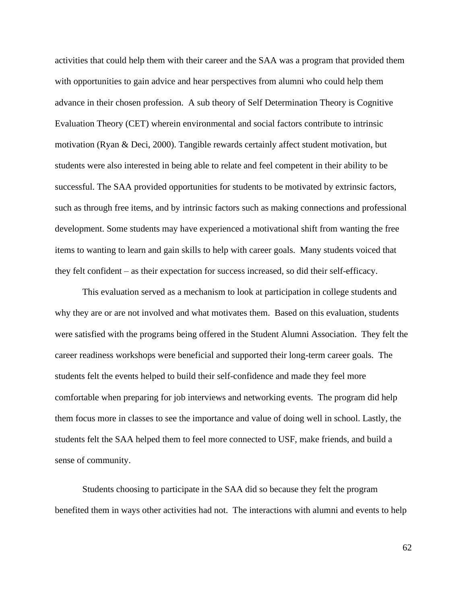activities that could help them with their career and the SAA was a program that provided them with opportunities to gain advice and hear perspectives from alumni who could help them advance in their chosen profession. A sub theory of Self Determination Theory is Cognitive Evaluation Theory (CET) wherein environmental and social factors contribute to intrinsic motivation (Ryan & Deci, 2000). Tangible rewards certainly affect student motivation, but students were also interested in being able to relate and feel competent in their ability to be successful. The SAA provided opportunities for students to be motivated by extrinsic factors, such as through free items, and by intrinsic factors such as making connections and professional development. Some students may have experienced a motivational shift from wanting the free items to wanting to learn and gain skills to help with career goals. Many students voiced that they felt confident – as their expectation for success increased, so did their self-efficacy.

This evaluation served as a mechanism to look at participation in college students and why they are or are not involved and what motivates them. Based on this evaluation, students were satisfied with the programs being offered in the Student Alumni Association. They felt the career readiness workshops were beneficial and supported their long-term career goals. The students felt the events helped to build their self-confidence and made they feel more comfortable when preparing for job interviews and networking events. The program did help them focus more in classes to see the importance and value of doing well in school. Lastly, the students felt the SAA helped them to feel more connected to USF, make friends, and build a sense of community.

Students choosing to participate in the SAA did so because they felt the program benefited them in ways other activities had not. The interactions with alumni and events to help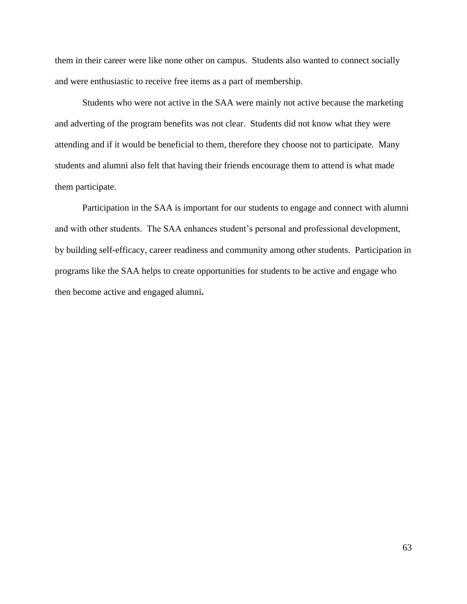them in their career were like none other on campus. Students also wanted to connect socially and were enthusiastic to receive free items as a part of membership.

Students who were not active in the SAA were mainly not active because the marketing and adverting of the program benefits was not clear. Students did not know what they were attending and if it would be beneficial to them, therefore they choose not to participate. Many students and alumni also felt that having their friends encourage them to attend is what made them participate.

Participation in the SAA is important for our students to engage and connect with alumni and with other students. The SAA enhances student's personal and professional development, by building self-efficacy, career readiness and community among other students. Participation in programs like the SAA helps to create opportunities for students to be active and engage who then become active and engaged alumni**.**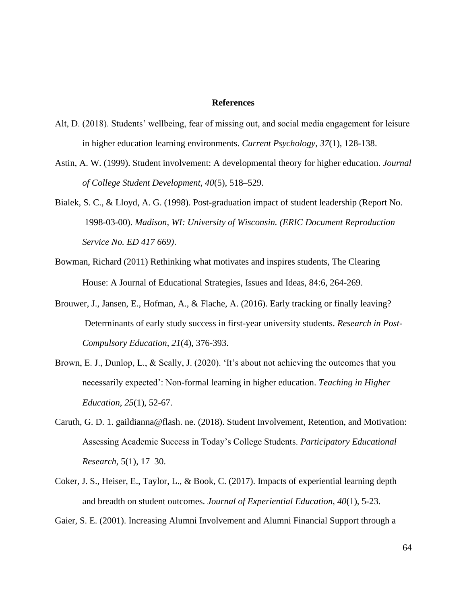#### **References**

- Alt, D. (2018). Students' wellbeing, fear of missing out, and social media engagement for leisure in higher education learning environments. *Current Psychology*, *37*(1), 128-138.
- Astin, A. W. (1999). Student involvement: A developmental theory for higher education. *Journal of College Student Development, 40*(5), 518–529.
- Bialek, S. C., & Lloyd, A. G. (1998). Post-graduation impact of student leadership (Report No. 1998-03-00). *Madison, WI: University of Wisconsin. (ERIC Document Reproduction Service No. ED 417 669)*.
- Bowman, Richard (2011) Rethinking what motivates and inspires students, The Clearing House: A Journal of Educational Strategies, Issues and Ideas, 84:6, 264-269.
- Brouwer, J., Jansen, E., Hofman, A., & Flache, A. (2016). Early tracking or finally leaving? Determinants of early study success in first-year university students. *Research in Post-Compulsory Education*, *21*(4), 376-393.
- Brown, E. J., Dunlop, L., & Scally, J. (2020). 'It's about not achieving the outcomes that you necessarily expected': Non-formal learning in higher education. *Teaching in Higher Education*, *25*(1), 52-67.
- Caruth, G. D. 1. gaildianna@flash. ne. (2018). Student Involvement, Retention, and Motivation: Assessing Academic Success in Today's College Students. *Participatory Educational Research*, 5(1), 17–30.
- Coker, J. S., Heiser, E., Taylor, L., & Book, C. (2017). Impacts of experiential learning depth and breadth on student outcomes. *Journal of Experiential Education*, *40*(1), 5-23.
- Gaier, S. E. (2001). Increasing Alumni Involvement and Alumni Financial Support through a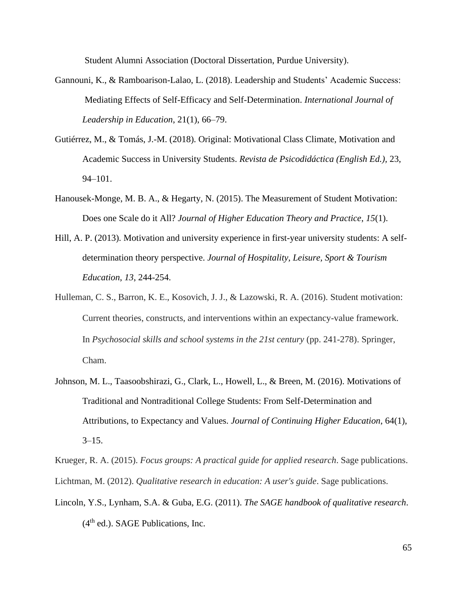Student Alumni Association (Doctoral Dissertation, Purdue University).

- Gannouni, K., & Ramboarison-Lalao, L. (2018). Leadership and Students' Academic Success: Mediating Effects of Self-Efficacy and Self-Determination. *International Journal of Leadership in Education*, 21(1), 66–79.
- Gutiérrez, M., & Tomás, J.-M. (2018). Original: Motivational Class Climate, Motivation and Academic Success in University Students. *Revista de Psicodidáctica (English Ed.),* 23, 94–101.
- Hanousek-Monge, M. B. A., & Hegarty, N. (2015). The Measurement of Student Motivation: Does one Scale do it All? *Journal of Higher Education Theory and Practice*, *15*(1).
- Hill, A. P. (2013). Motivation and university experience in first-year university students: A selfdetermination theory perspective. *Journal of Hospitality, Leisure, Sport & Tourism Education*, *13*, 244-254.
- Hulleman, C. S., Barron, K. E., Kosovich, J. J., & Lazowski, R. A. (2016). Student motivation: Current theories, constructs, and interventions within an expectancy-value framework. In *Psychosocial skills and school systems in the 21st century* (pp. 241-278). Springer, Cham.
- Johnson, M. L., Taasoobshirazi, G., Clark, L., Howell, L., & Breen, M. (2016). Motivations of Traditional and Nontraditional College Students: From Self-Determination and Attributions, to Expectancy and Values. *Journal of Continuing Higher Education*, 64(1),  $3 - 15$ .

Krueger, R. A. (2015). *Focus groups: A practical guide for applied research*. Sage publications. Lichtman, M. (2012). *Qualitative research in education: A user's guide*. Sage publications.

Lincoln, Y.S., Lynham, S.A. & Guba, E.G. (2011). *The SAGE handbook of qualitative research*.  $(4<sup>th</sup>$  ed.). SAGE Publications, Inc.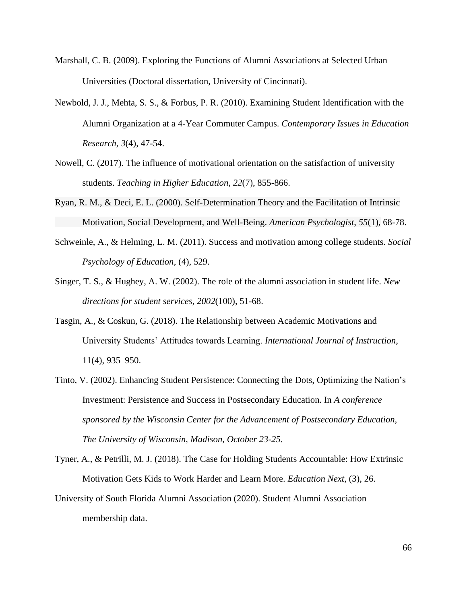- Marshall, C. B. (2009). Exploring the Functions of Alumni Associations at Selected Urban Universities (Doctoral dissertation, University of Cincinnati).
- Newbold, J. J., Mehta, S. S., & Forbus, P. R. (2010). Examining Student Identification with the Alumni Organization at a 4-Year Commuter Campus. *Contemporary Issues in Education Research*, *3*(4), 47-54.
- Nowell, C. (2017). The influence of motivational orientation on the satisfaction of university students. *Teaching in Higher Education*, *22*(7), 855-866.
- Ryan, R. M., & Deci, E. L. (2000). Self-Determination Theory and the Facilitation of Intrinsic Motivation, Social Development, and Well-Being. *American Psychologist*, *55*(1), 68-78.
- Schweinle, A., & Helming, L. M. (2011). Success and motivation among college students. *Social Psychology of Education*, (4), 529.
- Singer, T. S., & Hughey, A. W. (2002). The role of the alumni association in student life. *New directions for student services*, *2002*(100), 51-68.
- Tasgin, A., & Coskun, G. (2018). The Relationship between Academic Motivations and University Students' Attitudes towards Learning. *International Journal of Instruction*, 11(4), 935–950.
- Tinto, V. (2002). Enhancing Student Persistence: Connecting the Dots, Optimizing the Nation's Investment: Persistence and Success in Postsecondary Education. In *A conference sponsored by the Wisconsin Center for the Advancement of Postsecondary Education, The University of Wisconsin, Madison, October 23-25*.
- Tyner, A., & Petrilli, M. J. (2018). The Case for Holding Students Accountable: How Extrinsic Motivation Gets Kids to Work Harder and Learn More. *Education Next*, (3), 26.
- University of South Florida Alumni Association (2020). Student Alumni Association membership data.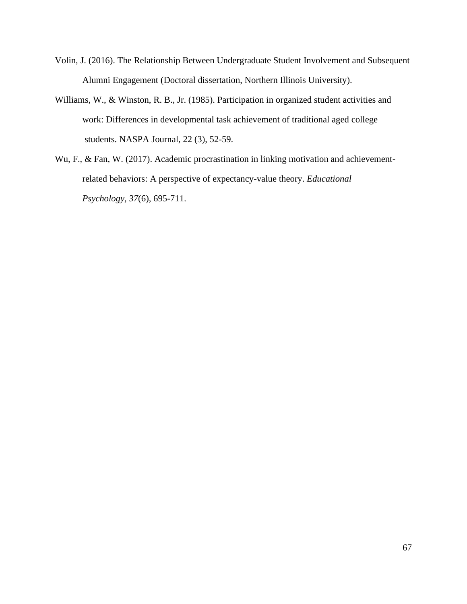- Volin, J. (2016). The Relationship Between Undergraduate Student Involvement and Subsequent Alumni Engagement (Doctoral dissertation, Northern Illinois University).
- Williams, W., & Winston, R. B., Jr. (1985). Participation in organized student activities and work: Differences in developmental task achievement of traditional aged college students. NASPA Journal, 22 (3), 52-59.
- Wu, F., & Fan, W. (2017). Academic procrastination in linking motivation and achievementrelated behaviors: A perspective of expectancy-value theory. *Educational Psychology*, *37*(6), 695-711.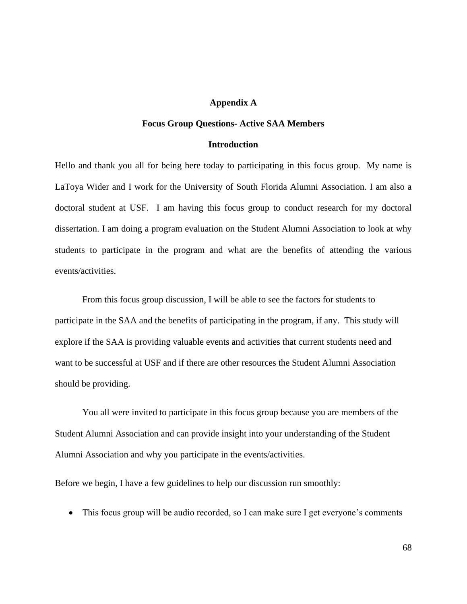## **Appendix A**

### **Focus Group Questions- Active SAA Members**

#### **Introduction**

Hello and thank you all for being here today to participating in this focus group. My name is LaToya Wider and I work for the University of South Florida Alumni Association. I am also a doctoral student at USF. I am having this focus group to conduct research for my doctoral dissertation. I am doing a program evaluation on the Student Alumni Association to look at why students to participate in the program and what are the benefits of attending the various events/activities.

From this focus group discussion, I will be able to see the factors for students to participate in the SAA and the benefits of participating in the program, if any. This study will explore if the SAA is providing valuable events and activities that current students need and want to be successful at USF and if there are other resources the Student Alumni Association should be providing.

You all were invited to participate in this focus group because you are members of the Student Alumni Association and can provide insight into your understanding of the Student Alumni Association and why you participate in the events/activities.

Before we begin, I have a few guidelines to help our discussion run smoothly:

• This focus group will be audio recorded, so I can make sure I get everyone's comments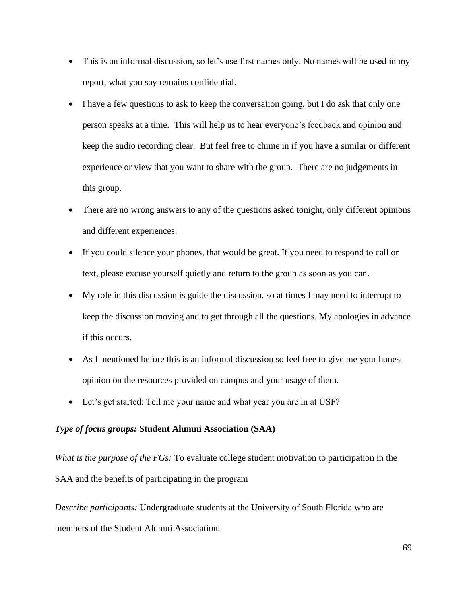- This is an informal discussion, so let's use first names only. No names will be used in my report, what you say remains confidential.
- I have a few questions to ask to keep the conversation going, but I do ask that only one person speaks at a time. This will help us to hear everyone's feedback and opinion and keep the audio recording clear. But feel free to chime in if you have a similar or different experience or view that you want to share with the group. There are no judgements in this group.
- There are no wrong answers to any of the questions asked tonight, only different opinions and different experiences.
- If you could silence your phones, that would be great. If you need to respond to call or text, please excuse yourself quietly and return to the group as soon as you can.
- My role in this discussion is guide the discussion, so at times I may need to interrupt to keep the discussion moving and to get through all the questions. My apologies in advance if this occurs.
- As I mentioned before this is an informal discussion so feel free to give me your honest opinion on the resources provided on campus and your usage of them.
- Let's get started: Tell me your name and what year you are in at USF?

# *Type of focus groups:* **Student Alumni Association (SAA)**

*What is the purpose of the FGs:* To evaluate college student motivation to participation in the SAA and the benefits of participating in the program

*Describe participants:* Undergraduate students at the University of South Florida who are members of the Student Alumni Association.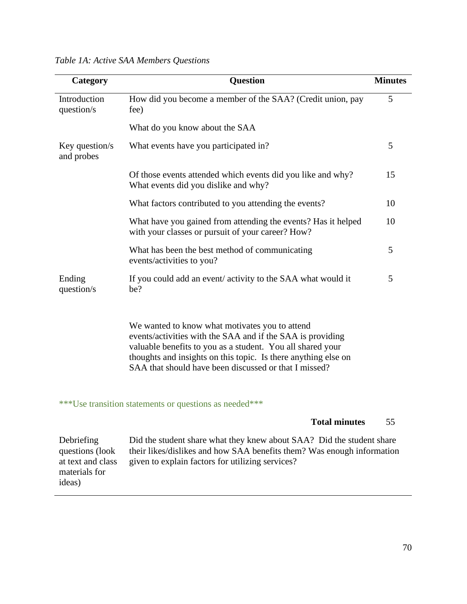| Category                                                                      | <b>Question</b>                                                                                                                                                                                                                                                                                       | <b>Minutes</b> |
|-------------------------------------------------------------------------------|-------------------------------------------------------------------------------------------------------------------------------------------------------------------------------------------------------------------------------------------------------------------------------------------------------|----------------|
| Introduction<br>question/s                                                    | How did you become a member of the SAA? (Credit union, pay<br>fee)                                                                                                                                                                                                                                    |                |
|                                                                               | What do you know about the SAA                                                                                                                                                                                                                                                                        |                |
| Key question/s<br>and probes                                                  | What events have you participated in?                                                                                                                                                                                                                                                                 | 5              |
|                                                                               | Of those events attended which events did you like and why?<br>What events did you dislike and why?                                                                                                                                                                                                   | 15             |
|                                                                               | What factors contributed to you attending the events?                                                                                                                                                                                                                                                 | 10             |
|                                                                               | What have you gained from attending the events? Has it helped<br>with your classes or pursuit of your career? How?                                                                                                                                                                                    | 10             |
|                                                                               | What has been the best method of communicating<br>events/activities to you?                                                                                                                                                                                                                           | 5              |
| Ending<br>question/s                                                          | If you could add an event/activity to the SAA what would it<br>be?                                                                                                                                                                                                                                    | 5              |
|                                                                               | We wanted to know what motivates you to attend<br>events/activities with the SAA and if the SAA is providing<br>valuable benefits to you as a student. You all shared your<br>thoughts and insights on this topic. Is there anything else on<br>SAA that should have been discussed or that I missed? |                |
|                                                                               | ***Use transition statements or questions as needed***                                                                                                                                                                                                                                                |                |
|                                                                               | <b>Total minutes</b>                                                                                                                                                                                                                                                                                  | 55             |
| Debriefing<br>questions (look<br>at text and class<br>materials for<br>ideas) | Did the student share what they knew about SAA? Did the student share<br>their likes/dislikes and how SAA benefits them? Was enough information<br>given to explain factors for utilizing services?                                                                                                   |                |

|  |  |  |  |  | Table 1A: Active SAA Members Questions |
|--|--|--|--|--|----------------------------------------|
|--|--|--|--|--|----------------------------------------|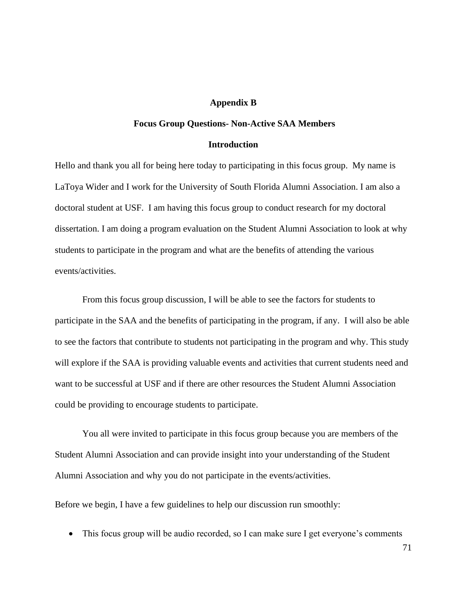### **Appendix B**

### **Focus Group Questions- Non-Active SAA Members**

#### **Introduction**

Hello and thank you all for being here today to participating in this focus group. My name is LaToya Wider and I work for the University of South Florida Alumni Association. I am also a doctoral student at USF. I am having this focus group to conduct research for my doctoral dissertation. I am doing a program evaluation on the Student Alumni Association to look at why students to participate in the program and what are the benefits of attending the various events/activities.

From this focus group discussion, I will be able to see the factors for students to participate in the SAA and the benefits of participating in the program, if any. I will also be able to see the factors that contribute to students not participating in the program and why. This study will explore if the SAA is providing valuable events and activities that current students need and want to be successful at USF and if there are other resources the Student Alumni Association could be providing to encourage students to participate.

You all were invited to participate in this focus group because you are members of the Student Alumni Association and can provide insight into your understanding of the Student Alumni Association and why you do not participate in the events/activities.

Before we begin, I have a few guidelines to help our discussion run smoothly:

• This focus group will be audio recorded, so I can make sure I get everyone's comments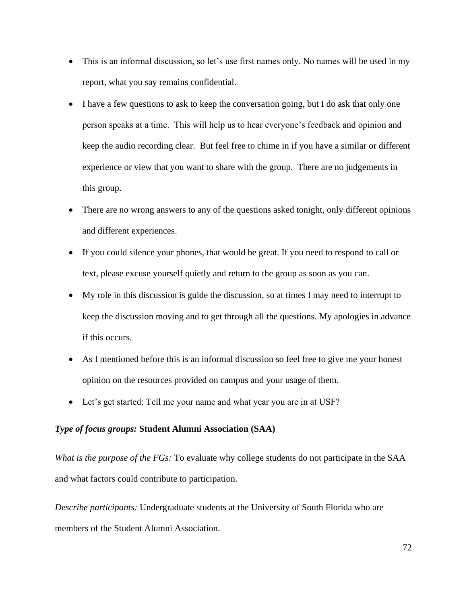- This is an informal discussion, so let's use first names only. No names will be used in my report, what you say remains confidential.
- I have a few questions to ask to keep the conversation going, but I do ask that only one person speaks at a time. This will help us to hear everyone's feedback and opinion and keep the audio recording clear. But feel free to chime in if you have a similar or different experience or view that you want to share with the group. There are no judgements in this group.
- There are no wrong answers to any of the questions asked tonight, only different opinions and different experiences.
- If you could silence your phones, that would be great. If you need to respond to call or text, please excuse yourself quietly and return to the group as soon as you can.
- My role in this discussion is guide the discussion, so at times I may need to interrupt to keep the discussion moving and to get through all the questions. My apologies in advance if this occurs.
- As I mentioned before this is an informal discussion so feel free to give me your honest opinion on the resources provided on campus and your usage of them.
- Let's get started: Tell me your name and what year you are in at USF?

# *Type of focus groups:* **Student Alumni Association (SAA)**

*What is the purpose of the FGs:* To evaluate why college students do not participate in the SAA and what factors could contribute to participation.

*Describe participants:* Undergraduate students at the University of South Florida who are members of the Student Alumni Association.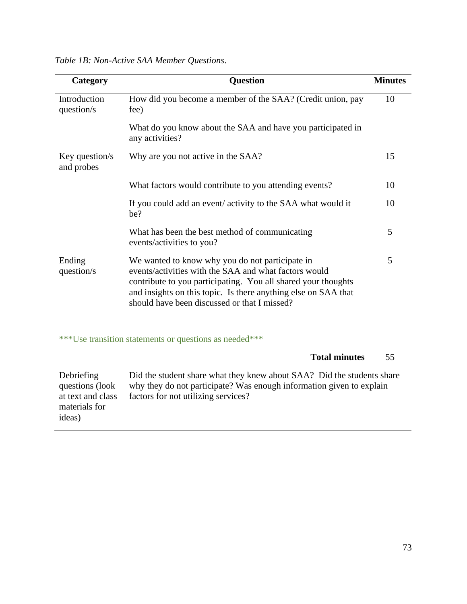| Category                                           | <b>Question</b>                                                                                                                                                                                                                                                                             | <b>Minutes</b> |  |  |  |
|----------------------------------------------------|---------------------------------------------------------------------------------------------------------------------------------------------------------------------------------------------------------------------------------------------------------------------------------------------|----------------|--|--|--|
| Introduction<br>question/s                         | How did you become a member of the SAA? (Credit union, pay<br>fee)                                                                                                                                                                                                                          | 10             |  |  |  |
|                                                    | What do you know about the SAA and have you participated in<br>any activities?                                                                                                                                                                                                              |                |  |  |  |
| Key question/s<br>and probes                       | Why are you not active in the SAA?                                                                                                                                                                                                                                                          | 15             |  |  |  |
|                                                    | What factors would contribute to you attending events?                                                                                                                                                                                                                                      | 10             |  |  |  |
|                                                    | If you could add an event/activity to the SAA what would it<br>be?                                                                                                                                                                                                                          | 10             |  |  |  |
|                                                    | What has been the best method of communicating<br>events/activities to you?                                                                                                                                                                                                                 | 5              |  |  |  |
| Ending<br>question/s                               | We wanted to know why you do not participate in<br>events/activities with the SAA and what factors would<br>contribute to you participating. You all shared your thoughts<br>and insights on this topic. Is there anything else on SAA that<br>should have been discussed or that I missed? | 5              |  |  |  |
|                                                    | ***Use transition statements or questions as needed***                                                                                                                                                                                                                                      |                |  |  |  |
|                                                    | <b>Total minutes</b>                                                                                                                                                                                                                                                                        | 55             |  |  |  |
| Debriefing<br>questions (look<br>at text and class | Did the student share what they knew about SAA? Did the students share<br>why they do not participate? Was enough information given to explain<br>factors for not utilizing services?                                                                                                       |                |  |  |  |

*Table 1B: Non-Active SAA Member Questions*.

materials for

ideas)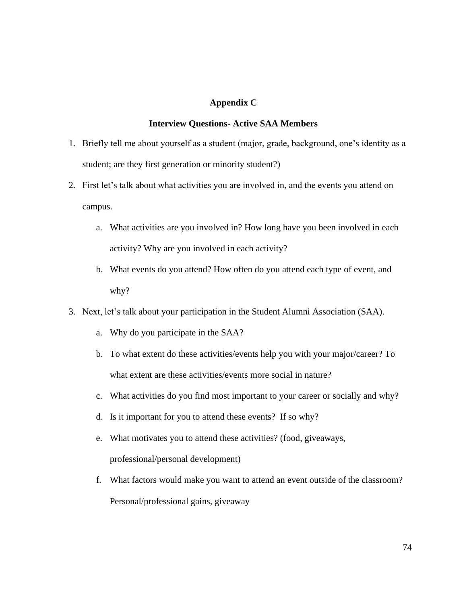# **Appendix C**

# **Interview Questions- Active SAA Members**

- 1. Briefly tell me about yourself as a student (major, grade, background, one's identity as a student; are they first generation or minority student?)
- 2. First let's talk about what activities you are involved in, and the events you attend on campus.
	- a. What activities are you involved in? How long have you been involved in each activity? Why are you involved in each activity?
	- b. What events do you attend? How often do you attend each type of event, and why?
- 3. Next, let's talk about your participation in the Student Alumni Association (SAA).
	- a. Why do you participate in the SAA?
	- b. To what extent do these activities/events help you with your major/career? To what extent are these activities/events more social in nature?
	- c. What activities do you find most important to your career or socially and why?
	- d. Is it important for you to attend these events? If so why?
	- e. What motivates you to attend these activities? (food, giveaways, professional/personal development)
	- f. What factors would make you want to attend an event outside of the classroom? Personal/professional gains, giveaway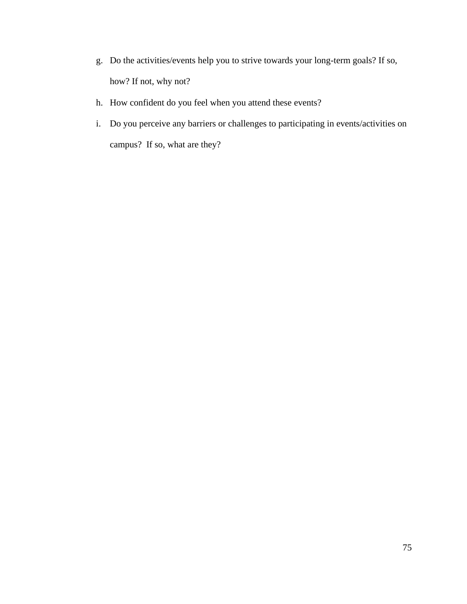- g. Do the activities/events help you to strive towards your long-term goals? If so, how? If not, why not?
- h. How confident do you feel when you attend these events?
- i. Do you perceive any barriers or challenges to participating in events/activities on campus? If so, what are they?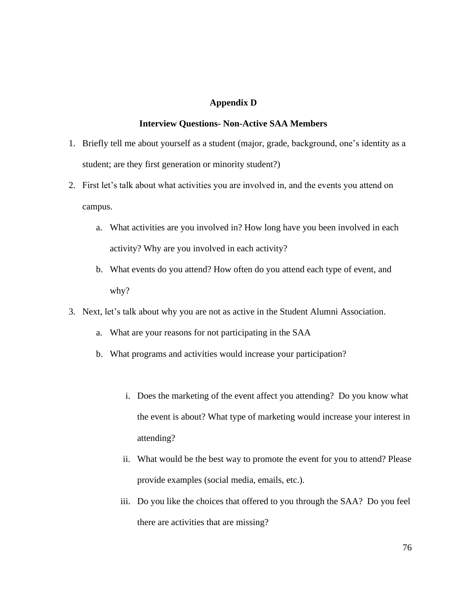# **Appendix D**

## **Interview Questions- Non-Active SAA Members**

- 1. Briefly tell me about yourself as a student (major, grade, background, one's identity as a student; are they first generation or minority student?)
- 2. First let's talk about what activities you are involved in, and the events you attend on campus.
	- a. What activities are you involved in? How long have you been involved in each activity? Why are you involved in each activity?
	- b. What events do you attend? How often do you attend each type of event, and why?
- 3. Next, let's talk about why you are not as active in the Student Alumni Association.
	- a. What are your reasons for not participating in the SAA
	- b. What programs and activities would increase your participation?
		- i. Does the marketing of the event affect you attending? Do you know what the event is about? What type of marketing would increase your interest in attending?
		- ii. What would be the best way to promote the event for you to attend? Please provide examples (social media, emails, etc.).
		- iii. Do you like the choices that offered to you through the SAA? Do you feel there are activities that are missing?